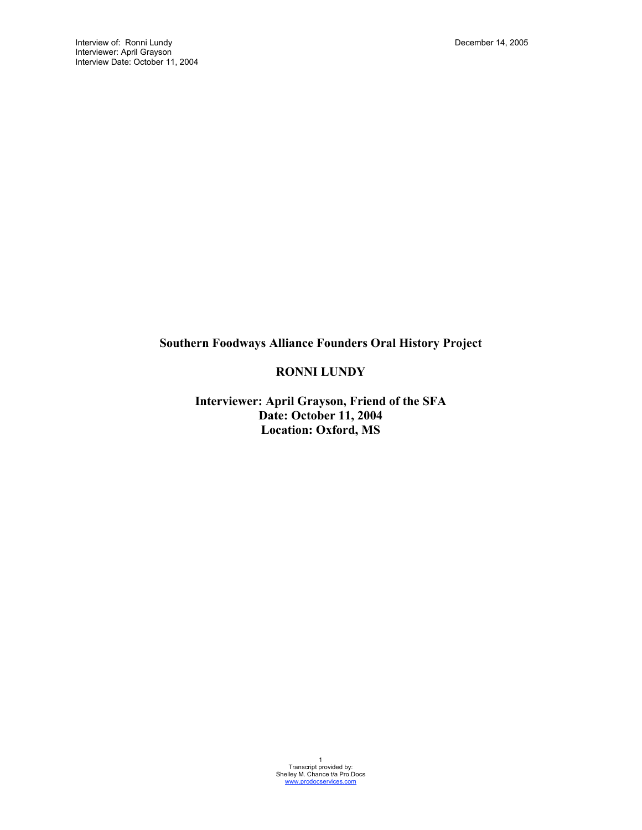# **Southern Foodways Alliance Founders Oral History Project**

# **RONNI LUNDY**

**Interviewer: April Grayson, Friend of the SFA Date: October 11, 2004 Location: Oxford, MS**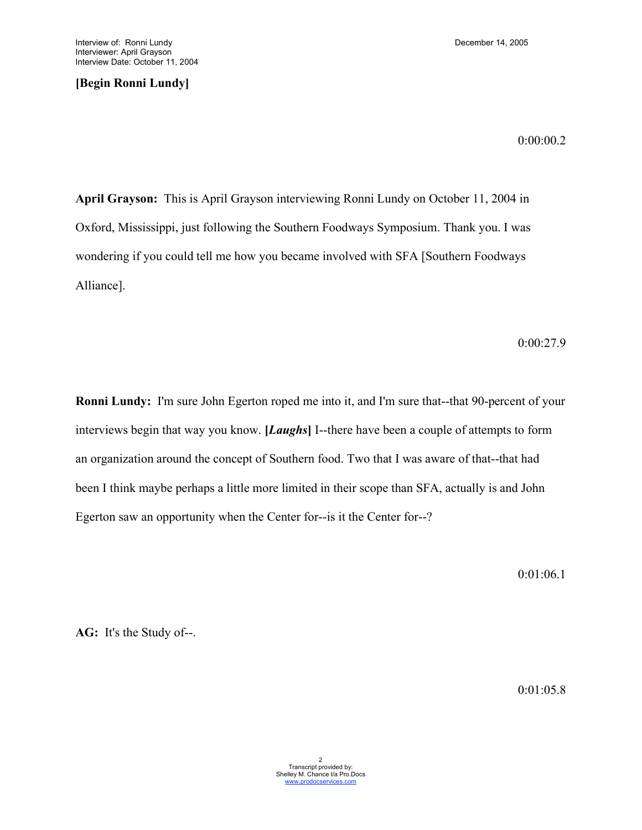**[Begin Ronni Lundy]**

0:00:00.2

**April Grayson:** This is April Grayson interviewing Ronni Lundy on October 11, 2004 in Oxford, Mississippi, just following the Southern Foodways Symposium. Thank you. I was wondering if you could tell me how you became involved with SFA [Southern Foodways Alliance].

0:00:27.9

**Ronni Lundy:** I'm sure John Egerton roped me into it, and I'm sure that--that 90-percent of your interviews begin that way you know. **[***Laughs***]** I--there have been a couple of attempts to form an organization around the concept of Southern food. Two that I was aware of that--that had been I think maybe perhaps a little more limited in their scope than SFA, actually is and John Egerton saw an opportunity when the Center for--is it the Center for--?

0:01:06.1

**AG:** It's the Study of--.

0:01:05.8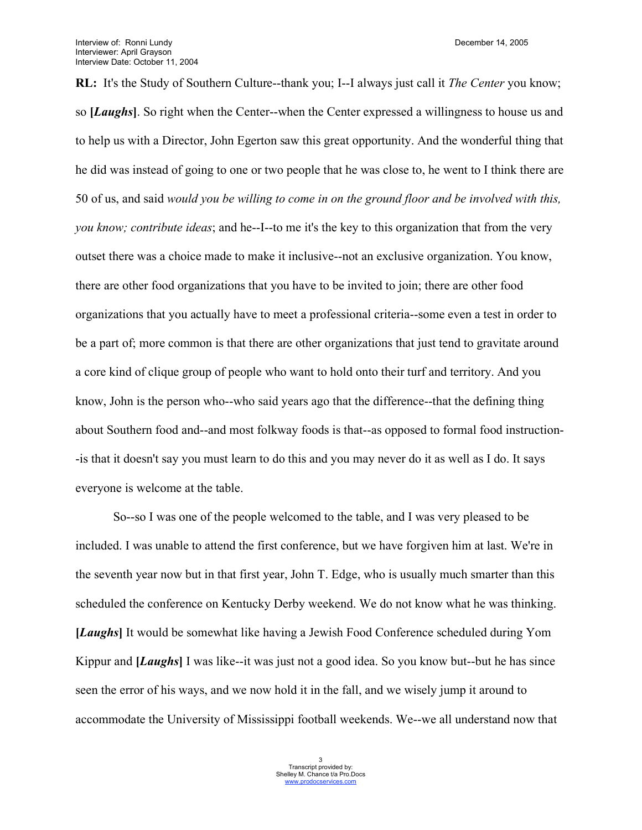**RL:** It's the Study of Southern Culture--thank you; I--I always just call it *The Center* you know; so **[***Laughs***]**. So right when the Center--when the Center expressed a willingness to house us and to help us with a Director, John Egerton saw this great opportunity. And the wonderful thing that he did was instead of going to one or two people that he was close to, he went to I think there are 50 of us, and said *would you be willing to come in on the ground floor and be involved with this, you know; contribute ideas*; and he--I--to me it's the key to this organization that from the very outset there was a choice made to make it inclusive--not an exclusive organization. You know, there are other food organizations that you have to be invited to join; there are other food organizations that you actually have to meet a professional criteria--some even a test in order to be a part of; more common is that there are other organizations that just tend to gravitate around a core kind of clique group of people who want to hold onto their turf and territory. And you know, John is the person who--who said years ago that the difference--that the defining thing about Southern food and--and most folkway foods is that--as opposed to formal food instruction- -is that it doesn't say you must learn to do this and you may never do it as well as I do. It says everyone is welcome at the table.

So--so I was one of the people welcomed to the table, and I was very pleased to be included. I was unable to attend the first conference, but we have forgiven him at last. We're in the seventh year now but in that first year, John T. Edge, who is usually much smarter than this scheduled the conference on Kentucky Derby weekend. We do not know what he was thinking. **[***Laughs***]** It would be somewhat like having a Jewish Food Conference scheduled during Yom Kippur and **[***Laughs***]** I was like--it was just not a good idea. So you know but--but he has since seen the error of his ways, and we now hold it in the fall, and we wisely jump it around to accommodate the University of Mississippi football weekends. We--we all understand now that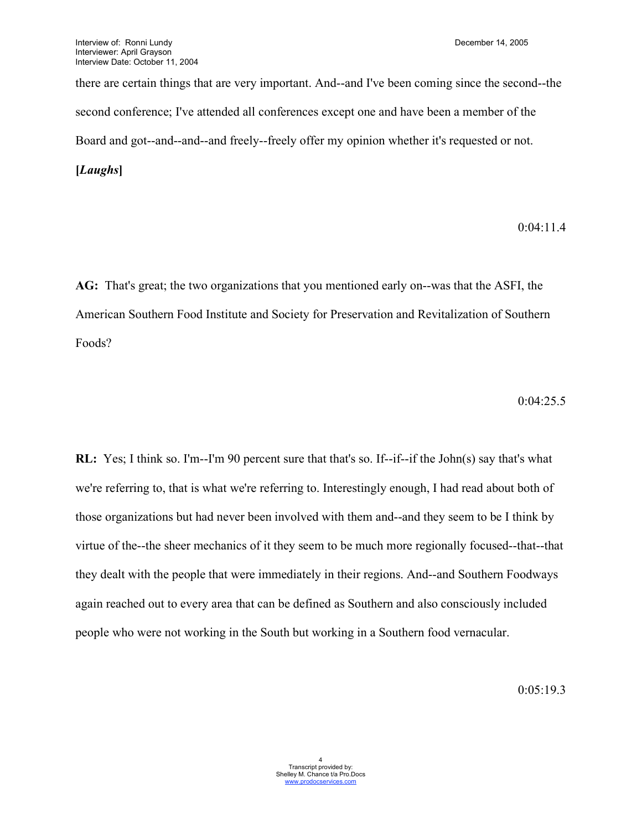there are certain things that are very important. And--and I've been coming since the second--the second conference; I've attended all conferences except one and have been a member of the Board and got--and--and--and freely--freely offer my opinion whether it's requested or not. **[***Laughs***]**

## 0:04:11.4

**AG:** That's great; the two organizations that you mentioned early on--was that the ASFI, the American Southern Food Institute and Society for Preservation and Revitalization of Southern Foods?

0:04:25.5

**RL:** Yes; I think so. I'm--I'm 90 percent sure that that's so. If--if--if the John(s) say that's what we're referring to, that is what we're referring to. Interestingly enough, I had read about both of those organizations but had never been involved with them and--and they seem to be I think by virtue of the--the sheer mechanics of it they seem to be much more regionally focused--that--that they dealt with the people that were immediately in their regions. And--and Southern Foodways again reached out to every area that can be defined as Southern and also consciously included people who were not working in the South but working in a Southern food vernacular.

0:05:19.3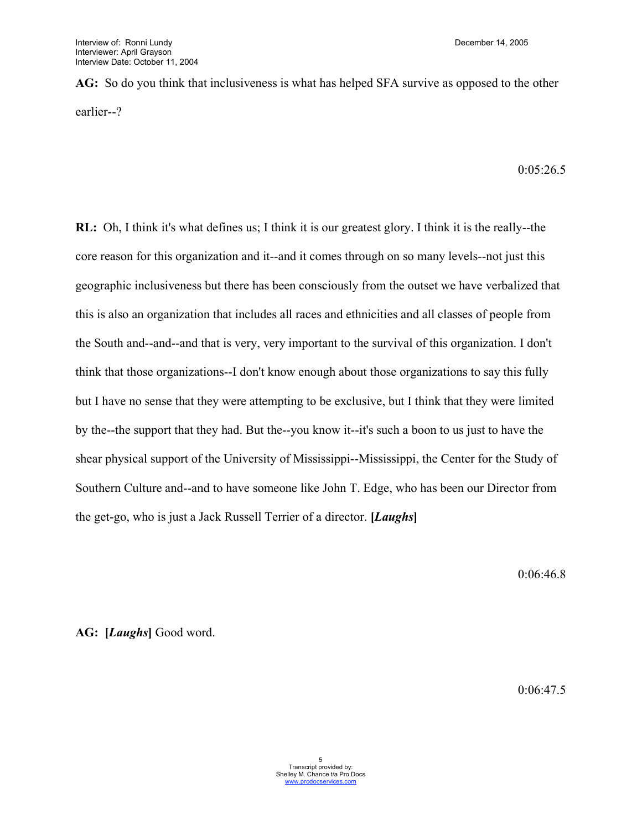**AG:** So do you think that inclusiveness is what has helped SFA survive as opposed to the other earlier--?

0:05:26.5

**RL:** Oh, I think it's what defines us; I think it is our greatest glory. I think it is the really--the core reason for this organization and it--and it comes through on so many levels--not just this geographic inclusiveness but there has been consciously from the outset we have verbalized that this is also an organization that includes all races and ethnicities and all classes of people from the South and--and--and that is very, very important to the survival of this organization. I don't think that those organizations--I don't know enough about those organizations to say this fully but I have no sense that they were attempting to be exclusive, but I think that they were limited by the--the support that they had. But the--you know it--it's such a boon to us just to have the shear physical support of the University of Mississippi--Mississippi, the Center for the Study of Southern Culture and--and to have someone like John T. Edge, who has been our Director from the get-go, who is just a Jack Russell Terrier of a director. **[***Laughs***]**

0:06:46.8

**AG: [***Laughs***]** Good word.

0:06:47.5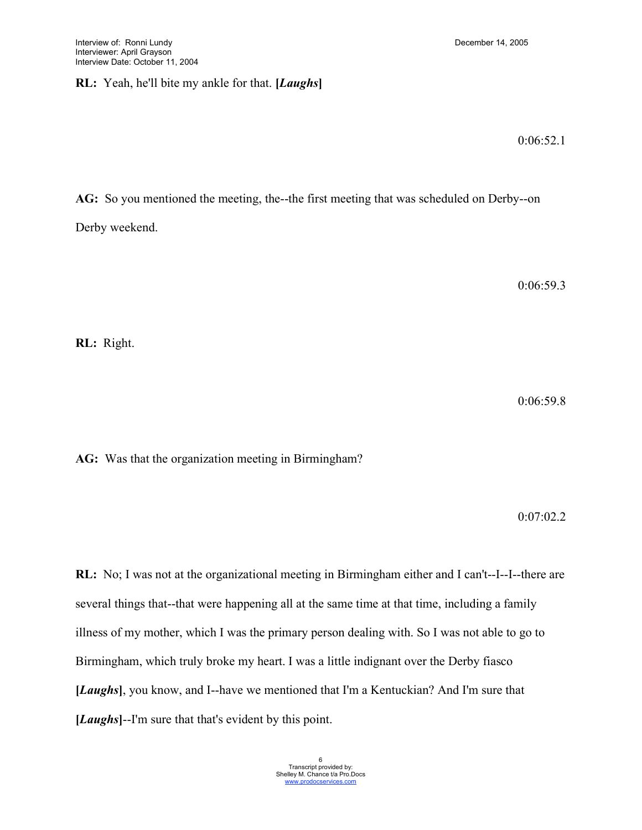# **RL:** Yeah, he'll bite my ankle for that. **[***Laughs***]**

0:06:52.1

**AG:** So you mentioned the meeting, the--the first meeting that was scheduled on Derby--on

Derby weekend.

0:06:59.3

**RL:** Right.

0:06:59.8

**AG:** Was that the organization meeting in Birmingham?

0:07:02.2

**RL:** No; I was not at the organizational meeting in Birmingham either and I can't--I--I--there are several things that--that were happening all at the same time at that time, including a family illness of my mother, which I was the primary person dealing with. So I was not able to go to Birmingham, which truly broke my heart. I was a little indignant over the Derby fiasco **[***Laughs***]**, you know, and I--have we mentioned that I'm a Kentuckian? And I'm sure that **[***Laughs***]**--I'm sure that that's evident by this point.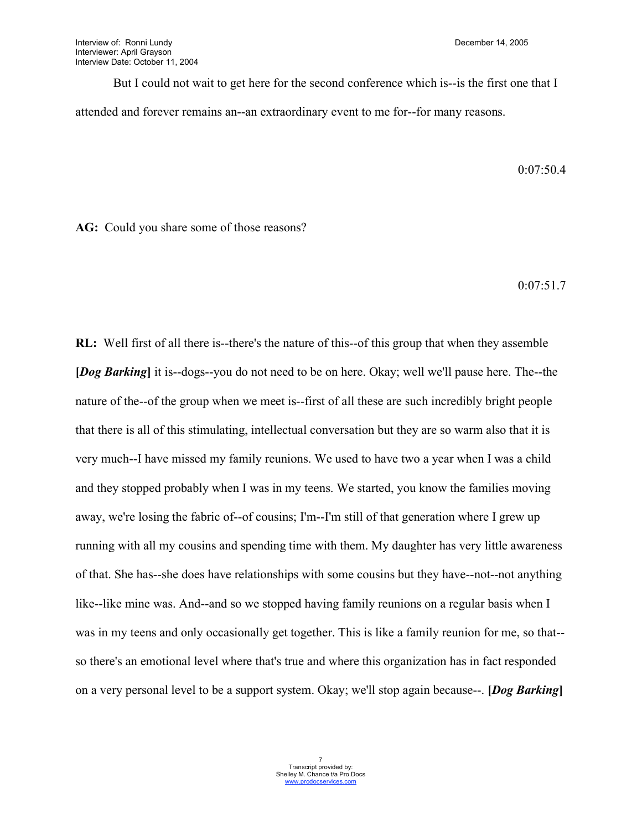But I could not wait to get here for the second conference which is--is the first one that I attended and forever remains an--an extraordinary event to me for--for many reasons.

0:07:50.4

**AG:** Could you share some of those reasons?

0:07:51.7

**RL:** Well first of all there is--there's the nature of this--of this group that when they assemble **[***Dog Barking***]** it is--dogs--you do not need to be on here. Okay; well we'll pause here. The--the nature of the--of the group when we meet is--first of all these are such incredibly bright people that there is all of this stimulating, intellectual conversation but they are so warm also that it is very much--I have missed my family reunions. We used to have two a year when I was a child and they stopped probably when I was in my teens. We started, you know the families moving away, we're losing the fabric of--of cousins; I'm--I'm still of that generation where I grew up running with all my cousins and spending time with them. My daughter has very little awareness of that. She has--she does have relationships with some cousins but they have--not--not anything like--like mine was. And--and so we stopped having family reunions on a regular basis when I was in my teens and only occasionally get together. This is like a family reunion for me, so that- so there's an emotional level where that's true and where this organization has in fact responded on a very personal level to be a support system. Okay; we'll stop again because--. **[***Dog Barking***]**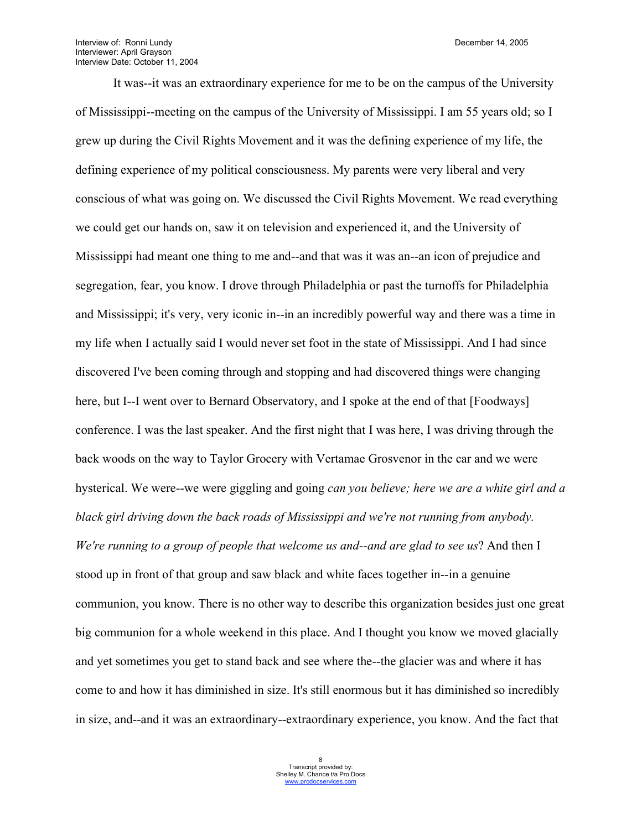It was--it was an extraordinary experience for me to be on the campus of the University of Mississippi--meeting on the campus of the University of Mississippi. I am 55 years old; so I grew up during the Civil Rights Movement and it was the defining experience of my life, the defining experience of my political consciousness. My parents were very liberal and very conscious of what was going on. We discussed the Civil Rights Movement. We read everything we could get our hands on, saw it on television and experienced it, and the University of Mississippi had meant one thing to me and--and that was it was an--an icon of prejudice and segregation, fear, you know. I drove through Philadelphia or past the turnoffs for Philadelphia and Mississippi; it's very, very iconic in--in an incredibly powerful way and there was a time in my life when I actually said I would never set foot in the state of Mississippi. And I had since discovered I've been coming through and stopping and had discovered things were changing here, but I--I went over to Bernard Observatory, and I spoke at the end of that [Foodways] conference. I was the last speaker. And the first night that I was here, I was driving through the back woods on the way to Taylor Grocery with Vertamae Grosvenor in the car and we were hysterical. We were--we were giggling and going *can you believe; here we are a white girl and a black girl driving down the back roads of Mississippi and we're not running from anybody. We're running to a group of people that welcome us and--and are glad to see us*? And then I stood up in front of that group and saw black and white faces together in--in a genuine communion, you know. There is no other way to describe this organization besides just one great big communion for a whole weekend in this place. And I thought you know we moved glacially and yet sometimes you get to stand back and see where the--the glacier was and where it has come to and how it has diminished in size. It's still enormous but it has diminished so incredibly in size, and--and it was an extraordinary--extraordinary experience, you know. And the fact that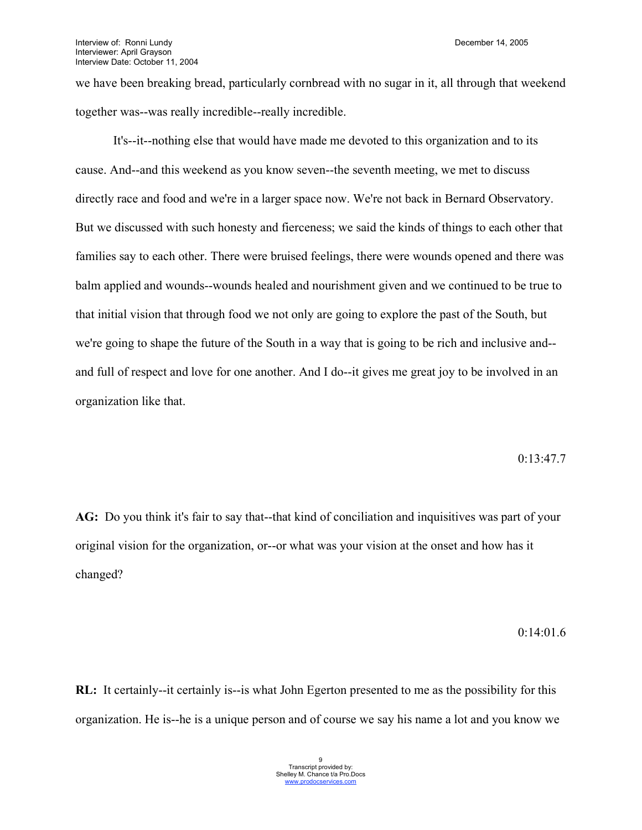we have been breaking bread, particularly cornbread with no sugar in it, all through that weekend together was--was really incredible--really incredible.

It's--it--nothing else that would have made me devoted to this organization and to its cause. And--and this weekend as you know seven--the seventh meeting, we met to discuss directly race and food and we're in a larger space now. We're not back in Bernard Observatory. But we discussed with such honesty and fierceness; we said the kinds of things to each other that families say to each other. There were bruised feelings, there were wounds opened and there was balm applied and wounds--wounds healed and nourishment given and we continued to be true to that initial vision that through food we not only are going to explore the past of the South, but we're going to shape the future of the South in a way that is going to be rich and inclusive and- and full of respect and love for one another. And I do--it gives me great joy to be involved in an organization like that.

#### 0:13:47.7

**AG:** Do you think it's fair to say that--that kind of conciliation and inquisitives was part of your original vision for the organization, or--or what was your vision at the onset and how has it changed?

#### 0:14:01.6

**RL:** It certainly--it certainly is--is what John Egerton presented to me as the possibility for this organization. He is--he is a unique person and of course we say his name a lot and you know we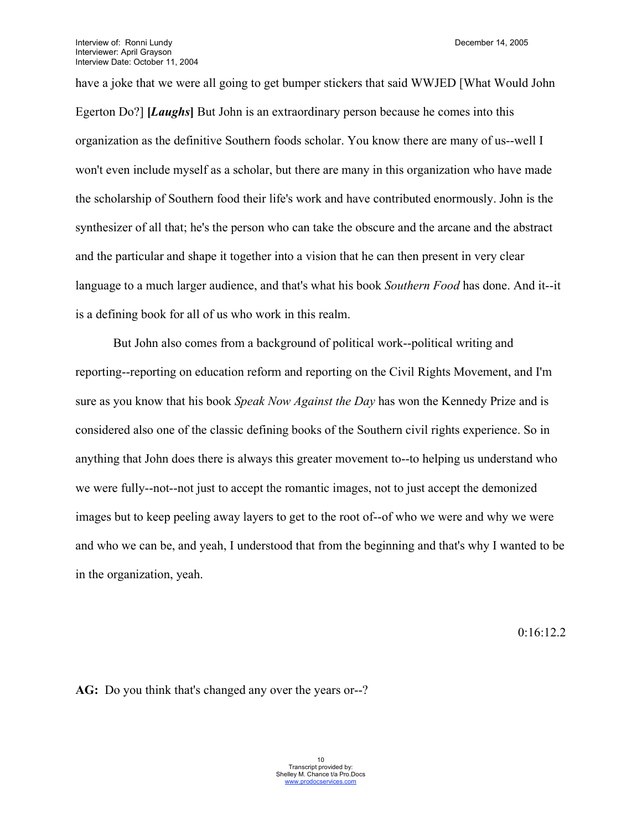have a joke that we were all going to get bumper stickers that said WWJED [What Would John Egerton Do?] [*Laughs*] But John is an extraordinary person because he comes into this organization as the definitive Southern foods scholar. You know there are many of us--well I won't even include myself as a scholar, but there are many in this organization who have made the scholarship of Southern food their life's work and have contributed enormously. John is the synthesizer of all that; he's the person who can take the obscure and the arcane and the abstract and the particular and shape it together into a vision that he can then present in very clear language to a much larger audience, and that's what his book *Southern Food* has done. And it--it is a defining book for all of us who work in this realm.

But John also comes from a background of political work--political writing and reporting--reporting on education reform and reporting on the Civil Rights Movement, and I'm sure as you know that his book *Speak Now Against the Day* has won the Kennedy Prize and is considered also one of the classic defining books of the Southern civil rights experience. So in anything that John does there is always this greater movement to--to helping us understand who we were fully--not--not just to accept the romantic images, not to just accept the demonized images but to keep peeling away layers to get to the root of--of who we were and why we were and who we can be, and yeah, I understood that from the beginning and that's why I wanted to be in the organization, yeah.

0:16:12.2

**AG:** Do you think that's changed any over the years or--?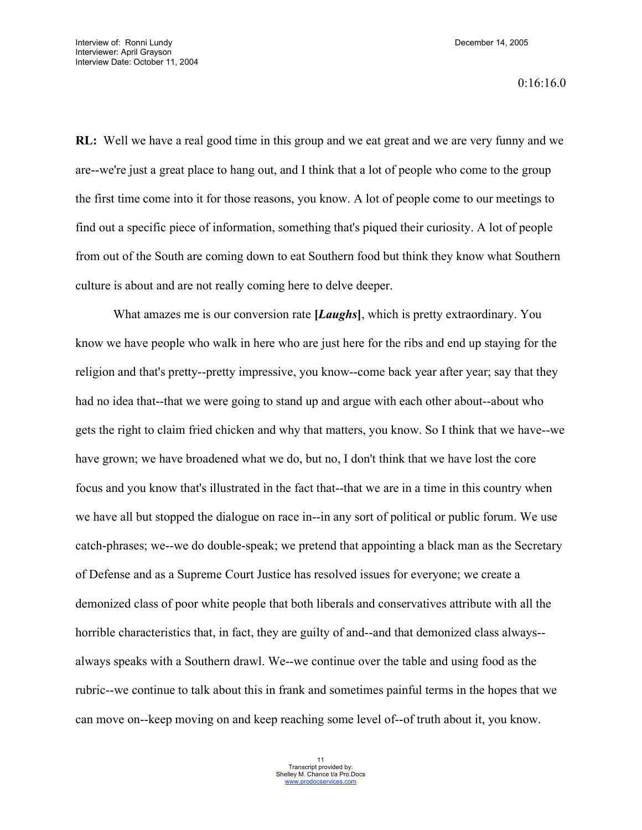0:16:16.0

**RL:** Well we have a real good time in this group and we eat great and we are very funny and we are--we're just a great place to hang out, and I think that a lot of people who come to the group the first time come into it for those reasons, you know. A lot of people come to our meetings to find out a specific piece of information, something that's piqued their curiosity. A lot of people from out of the South are coming down to eat Southern food but think they know what Southern culture is about and are not really coming here to delve deeper.

What amazes me is our conversion rate **[***Laughs***]**, which is pretty extraordinary. You know we have people who walk in here who are just here for the ribs and end up staying for the religion and that's pretty--pretty impressive, you know--come back year after year; say that they had no idea that--that we were going to stand up and argue with each other about--about who gets the right to claim fried chicken and why that matters, you know. So I think that we have--we have grown; we have broadened what we do, but no, I don't think that we have lost the core focus and you know that's illustrated in the fact that--that we are in a time in this country when we have all but stopped the dialogue on race in--in any sort of political or public forum. We use catch-phrases; we--we do double-speak; we pretend that appointing a black man as the Secretary of Defense and as a Supreme Court Justice has resolved issues for everyone; we create a demonized class of poor white people that both liberals and conservatives attribute with all the horrible characteristics that, in fact, they are guilty of and--and that demonized class always- always speaks with a Southern drawl. We--we continue over the table and using food as the rubric--we continue to talk about this in frank and sometimes painful terms in the hopes that we can move on--keep moving on and keep reaching some level of--of truth about it, you know.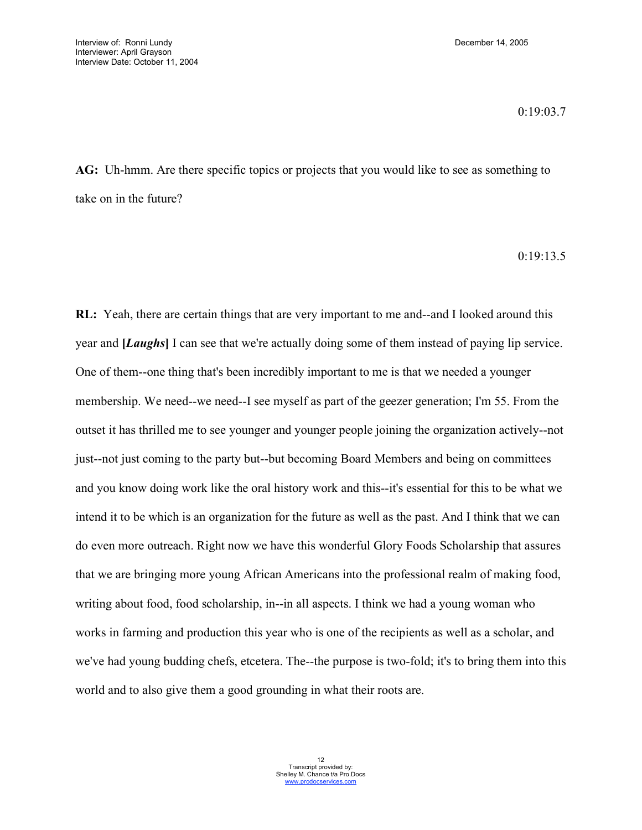## 0:19:03.7

**AG:** Uh-hmm. Are there specific topics or projects that you would like to see as something to take on in the future?

0:19:13.5

**RL:** Yeah, there are certain things that are very important to me and--and I looked around this year and **[***Laughs***]** I can see that we're actually doing some of them instead of paying lip service. One of them--one thing that's been incredibly important to me is that we needed a younger membership. We need--we need--I see myself as part of the geezer generation; I'm 55. From the outset it has thrilled me to see younger and younger people joining the organization actively--not just--not just coming to the party but--but becoming Board Members and being on committees and you know doing work like the oral history work and this--it's essential for this to be what we intend it to be which is an organization for the future as well as the past. And I think that we can do even more outreach. Right now we have this wonderful Glory Foods Scholarship that assures that we are bringing more young African Americans into the professional realm of making food, writing about food, food scholarship, in--in all aspects. I think we had a young woman who works in farming and production this year who is one of the recipients as well as a scholar, and we've had young budding chefs, etcetera. The--the purpose is two-fold; it's to bring them into this world and to also give them a good grounding in what their roots are.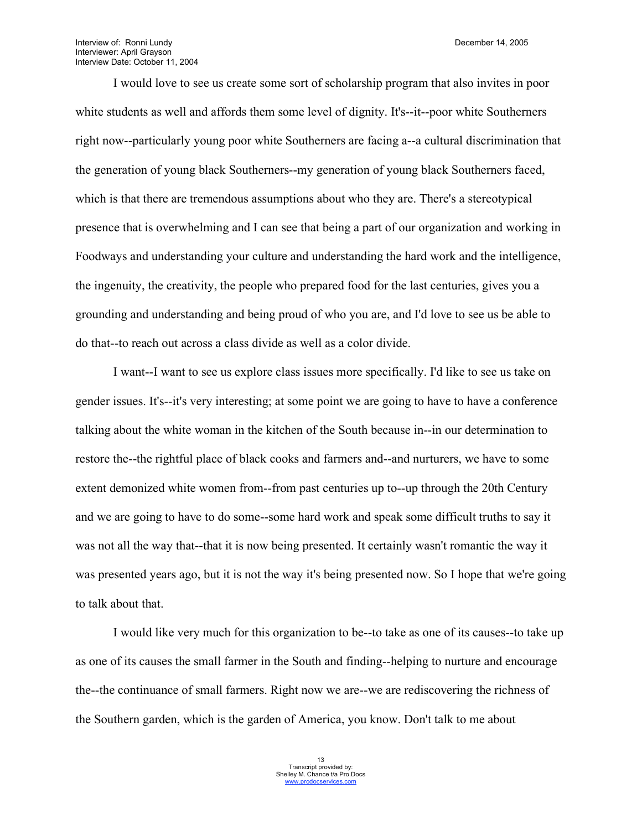Interview of: Ronni Lundy **December 14, 2005** Interviewer: April Grayson Interview Date: October 11, 2004

I would love to see us create some sort of scholarship program that also invites in poor white students as well and affords them some level of dignity. It's--it--poor white Southerners right now--particularly young poor white Southerners are facing a--a cultural discrimination that the generation of young black Southerners--my generation of young black Southerners faced, which is that there are tremendous assumptions about who they are. There's a stereotypical presence that is overwhelming and I can see that being a part of our organization and working in Foodways and understanding your culture and understanding the hard work and the intelligence, the ingenuity, the creativity, the people who prepared food for the last centuries, gives you a grounding and understanding and being proud of who you are, and I'd love to see us be able to do that--to reach out across a class divide as well as a color divide.

I want--I want to see us explore class issues more specifically. I'd like to see us take on gender issues. It's--it's very interesting; at some point we are going to have to have a conference talking about the white woman in the kitchen of the South because in--in our determination to restore the--the rightful place of black cooks and farmers and--and nurturers, we have to some extent demonized white women from--from past centuries up to--up through the 20th Century and we are going to have to do some--some hard work and speak some difficult truths to say it was not all the way that--that it is now being presented. It certainly wasn't romantic the way it was presented years ago, but it is not the way it's being presented now. So I hope that we're going to talk about that.

I would like very much for this organization to be--to take as one of its causes--to take up as one of its causes the small farmer in the South and finding--helping to nurture and encourage the--the continuance of small farmers. Right now we are--we are rediscovering the richness of the Southern garden, which is the garden of America, you know. Don't talk to me about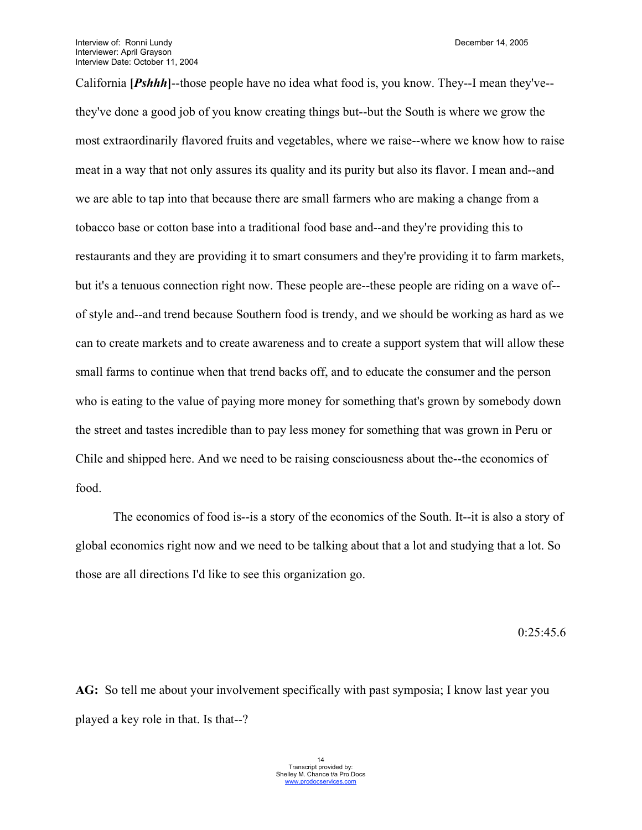California **[***Pshhh***]**--those people have no idea what food is, you know. They--I mean they've- they've done a good job of you know creating things but--but the South is where we grow the most extraordinarily flavored fruits and vegetables, where we raise--where we know how to raise meat in a way that not only assures its quality and its purity but also its flavor. I mean and--and we are able to tap into that because there are small farmers who are making a change from a tobacco base or cotton base into a traditional food base and--and they're providing this to restaurants and they are providing it to smart consumers and they're providing it to farm markets, but it's a tenuous connection right now. These people are--these people are riding on a wave of- of style and--and trend because Southern food is trendy, and we should be working as hard as we can to create markets and to create awareness and to create a support system that will allow these small farms to continue when that trend backs off, and to educate the consumer and the person who is eating to the value of paying more money for something that's grown by somebody down the street and tastes incredible than to pay less money for something that was grown in Peru or Chile and shipped here. And we need to be raising consciousness about the--the economics of food.

The economics of food is--is a story of the economics of the South. It--it is also a story of global economics right now and we need to be talking about that a lot and studying that a lot. So those are all directions I'd like to see this organization go.

0:25:45.6

**AG:** So tell me about your involvement specifically with past symposia; I know last year you played a key role in that. Is that--?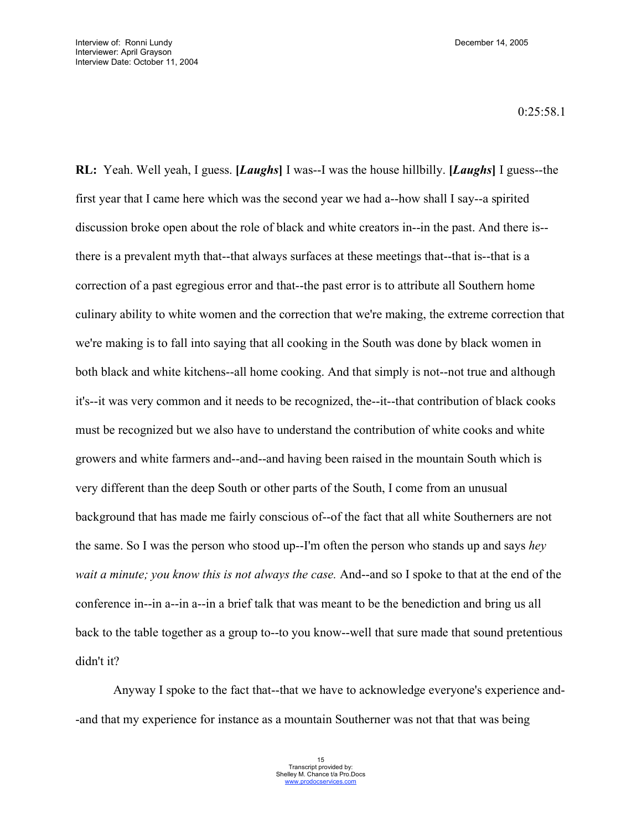$0.25.58.1$ 

**RL:** Yeah. Well yeah, I guess. **[***Laughs***]** I was--I was the house hillbilly. **[***Laughs***]** I guess--the first year that I came here which was the second year we had a--how shall I say--a spirited discussion broke open about the role of black and white creators in--in the past. And there is- there is a prevalent myth that--that always surfaces at these meetings that--that is--that is a correction of a past egregious error and that--the past error is to attribute all Southern home culinary ability to white women and the correction that we're making, the extreme correction that we're making is to fall into saying that all cooking in the South was done by black women in both black and white kitchens--all home cooking. And that simply is not--not true and although it's--it was very common and it needs to be recognized, the--it--that contribution of black cooks must be recognized but we also have to understand the contribution of white cooks and white growers and white farmers and--and--and having been raised in the mountain South which is very different than the deep South or other parts of the South, I come from an unusual background that has made me fairly conscious of--of the fact that all white Southerners are not the same. So I was the person who stood up--I'm often the person who stands up and says *hey wait a minute; you know this is not always the case.* And--and so I spoke to that at the end of the conference in--in a--in a--in a brief talk that was meant to be the benediction and bring us all back to the table together as a group to--to you know--well that sure made that sound pretentious didn't it?

Anyway I spoke to the fact that--that we have to acknowledge everyone's experience and- -and that my experience for instance as a mountain Southerner was not that that was being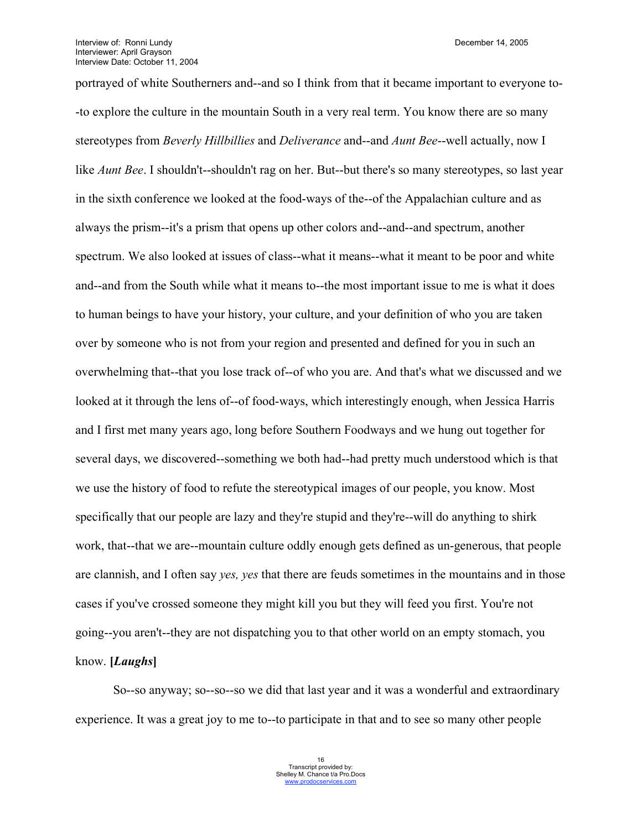portrayed of white Southerners and--and so I think from that it became important to everyone to- -to explore the culture in the mountain South in a very real term. You know there are so many stereotypes from *Beverly Hillbillies* and *Deliverance* and--and *Aunt Bee*--well actually, now I like *Aunt Bee*. I shouldn't--shouldn't rag on her. But--but there's so many stereotypes, so last year in the sixth conference we looked at the food-ways of the--of the Appalachian culture and as always the prism--it's a prism that opens up other colors and--and--and spectrum, another spectrum. We also looked at issues of class--what it means--what it meant to be poor and white and--and from the South while what it means to--the most important issue to me is what it does to human beings to have your history, your culture, and your definition of who you are taken over by someone who is not from your region and presented and defined for you in such an overwhelming that--that you lose track of--of who you are. And that's what we discussed and we looked at it through the lens of--of food-ways, which interestingly enough, when Jessica Harris and I first met many years ago, long before Southern Foodways and we hung out together for several days, we discovered--something we both had--had pretty much understood which is that we use the history of food to refute the stereotypical images of our people, you know. Most specifically that our people are lazy and they're stupid and they're--will do anything to shirk work, that--that we are--mountain culture oddly enough gets defined as un-generous, that people are clannish, and I often say *yes, yes* that there are feuds sometimes in the mountains and in those cases if you've crossed someone they might kill you but they will feed you first. You're not going--you aren't--they are not dispatching you to that other world on an empty stomach, you know. **[***Laughs***]**

So--so anyway; so--so--so we did that last year and it was a wonderful and extraordinary experience. It was a great joy to me to--to participate in that and to see so many other people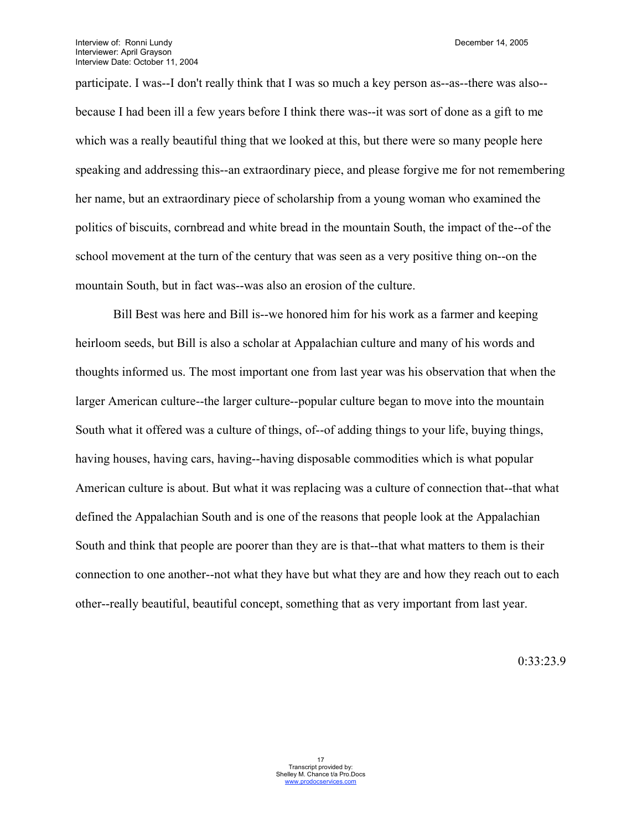participate. I was--I don't really think that I was so much a key person as--as--there was also- because I had been ill a few years before I think there was--it was sort of done as a gift to me which was a really beautiful thing that we looked at this, but there were so many people here speaking and addressing this--an extraordinary piece, and please forgive me for not remembering her name, but an extraordinary piece of scholarship from a young woman who examined the politics of biscuits, cornbread and white bread in the mountain South, the impact of the--of the school movement at the turn of the century that was seen as a very positive thing on--on the mountain South, but in fact was--was also an erosion of the culture.

Bill Best was here and Bill is--we honored him for his work as a farmer and keeping heirloom seeds, but Bill is also a scholar at Appalachian culture and many of his words and thoughts informed us. The most important one from last year was his observation that when the larger American culture--the larger culture--popular culture began to move into the mountain South what it offered was a culture of things, of--of adding things to your life, buying things, having houses, having cars, having--having disposable commodities which is what popular American culture is about. But what it was replacing was a culture of connection that--that what defined the Appalachian South and is one of the reasons that people look at the Appalachian South and think that people are poorer than they are is that--that what matters to them is their connection to one another--not what they have but what they are and how they reach out to each other--really beautiful, beautiful concept, something that as very important from last year.

0:33:23.9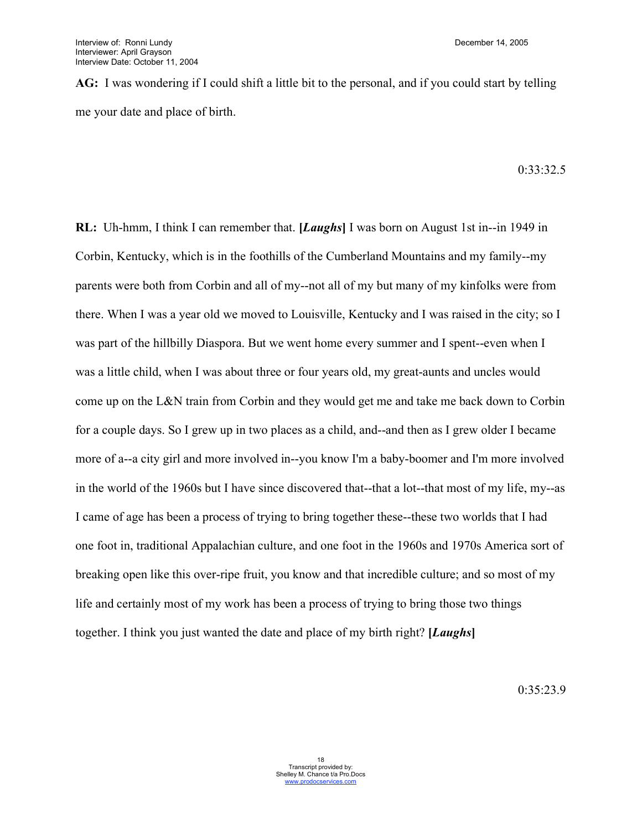**AG:** I was wondering if I could shift a little bit to the personal, and if you could start by telling me your date and place of birth.

 $0.33.32.5$ 

**RL:** Uh-hmm, I think I can remember that. **[***Laughs***]** I was born on August 1st in--in 1949 in Corbin, Kentucky, which is in the foothills of the Cumberland Mountains and my family--my parents were both from Corbin and all of my--not all of my but many of my kinfolks were from there. When I was a year old we moved to Louisville, Kentucky and I was raised in the city; so I was part of the hillbilly Diaspora. But we went home every summer and I spent--even when I was a little child, when I was about three or four years old, my great-aunts and uncles would come up on the L&N train from Corbin and they would get me and take me back down to Corbin for a couple days. So I grew up in two places as a child, and--and then as I grew older I became more of a--a city girl and more involved in--you know I'm a baby-boomer and I'm more involved in the world of the 1960s but I have since discovered that--that a lot--that most of my life, my--as I came of age has been a process of trying to bring together these--these two worlds that I had one foot in, traditional Appalachian culture, and one foot in the 1960s and 1970s America sort of breaking open like this over-ripe fruit, you know and that incredible culture; and so most of my life and certainly most of my work has been a process of trying to bring those two things together. I think you just wanted the date and place of my birth right? **[***Laughs***]**

 $0.35.23.9$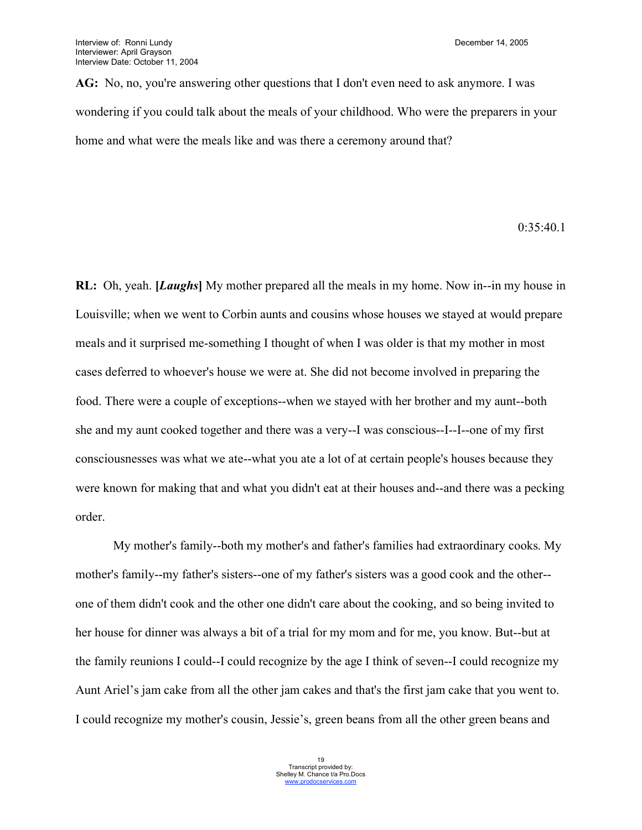AG: No, no, you're answering other questions that I don't even need to ask anymore. I was wondering if you could talk about the meals of your childhood. Who were the preparers in your home and what were the meals like and was there a ceremony around that?

0:35:40.1

**RL:** Oh, yeah. **[***Laughs***]** My mother prepared all the meals in my home. Now in--in my house in Louisville; when we went to Corbin aunts and cousins whose houses we stayed at would prepare meals and it surprised me-something I thought of when I was older is that my mother in most cases deferred to whoever's house we were at. She did not become involved in preparing the food. There were a couple of exceptions--when we stayed with her brother and my aunt--both she and my aunt cooked together and there was a very--I was conscious--I--I--one of my first consciousnesses was what we ate--what you ate a lot of at certain people's houses because they were known for making that and what you didn't eat at their houses and--and there was a pecking order.

My mother's family--both my mother's and father's families had extraordinary cooks. My mother's family--my father's sisters--one of my father's sisters was a good cook and the other- one of them didn't cook and the other one didn't care about the cooking, and so being invited to her house for dinner was always a bit of a trial for my mom and for me, you know. But--but at the family reunions I could--I could recognize by the age I think of seven--I could recognize my Aunt Ariel's jam cake from all the other jam cakes and that's the first jam cake that you went to. I could recognize my mother's cousin, Jessie's, green beans from all the other green beans and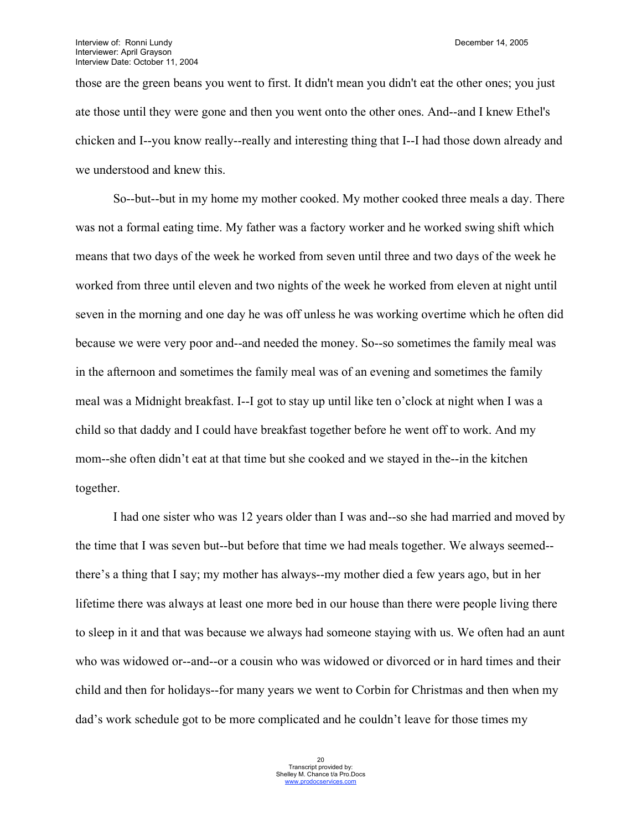those are the green beans you went to first. It didn't mean you didn't eat the other ones; you just ate those until they were gone and then you went onto the other ones. And--and I knew Ethel's chicken and I--you know really--really and interesting thing that I--I had those down already and we understood and knew this.

So--but--but in my home my mother cooked. My mother cooked three meals a day. There was not a formal eating time. My father was a factory worker and he worked swing shift which means that two days of the week he worked from seven until three and two days of the week he worked from three until eleven and two nights of the week he worked from eleven at night until seven in the morning and one day he was off unless he was working overtime which he often did because we were very poor and--and needed the money. So--so sometimes the family meal was in the afternoon and sometimes the family meal was of an evening and sometimes the family meal was a Midnight breakfast. I--I got to stay up until like ten o'clock at night when I was a child so that daddy and I could have breakfast together before he went off to work. And my mom--she often didn't eat at that time but she cooked and we stayed in the--in the kitchen together.

I had one sister who was 12 years older than I was and--so she had married and moved by the time that I was seven but--but before that time we had meals together. We always seemed- there's a thing that I say; my mother has always--my mother died a few years ago, but in her lifetime there was always at least one more bed in our house than there were people living there to sleep in it and that was because we always had someone staying with us. We often had an aunt who was widowed or--and--or a cousin who was widowed or divorced or in hard times and their child and then for holidays--for many years we went to Corbin for Christmas and then when my dad's work schedule got to be more complicated and he couldn't leave for those times my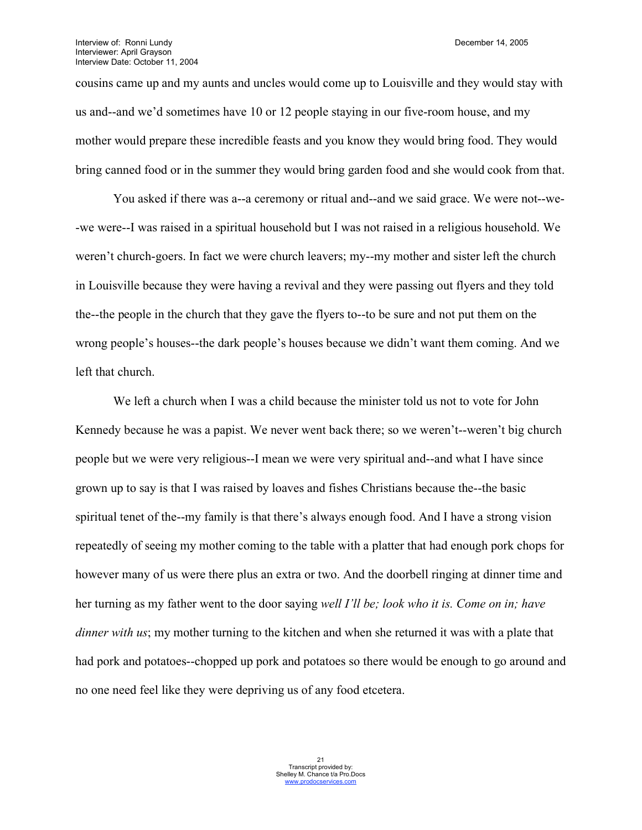cousins came up and my aunts and uncles would come up to Louisville and they would stay with us and--and we'd sometimes have 10 or 12 people staying in our five-room house, and my mother would prepare these incredible feasts and you know they would bring food. They would bring canned food or in the summer they would bring garden food and she would cook from that.

You asked if there was a--a ceremony or ritual and--and we said grace. We were not--we- -we were--I was raised in a spiritual household but I was not raised in a religious household. We weren't church-goers. In fact we were church leavers; my--my mother and sister left the church in Louisville because they were having a revival and they were passing out flyers and they told the--the people in the church that they gave the flyers to--to be sure and not put them on the wrong people's houses--the dark people's houses because we didn't want them coming. And we left that church.

We left a church when I was a child because the minister told us not to vote for John Kennedy because he was a papist. We never went back there; so we weren't--weren't big church people but we were very religious--I mean we were very spiritual and--and what I have since grown up to say is that I was raised by loaves and fishes Christians because the--the basic spiritual tenet of the--my family is that there's always enough food. And I have a strong vision repeatedly of seeing my mother coming to the table with a platter that had enough pork chops for however many of us were there plus an extra or two. And the doorbell ringing at dinner time and her turning as my father went to the door saying *well I'll be; look who it is. Come on in; have dinner with us*; my mother turning to the kitchen and when she returned it was with a plate that had pork and potatoes--chopped up pork and potatoes so there would be enough to go around and no one need feel like they were depriving us of any food etcetera.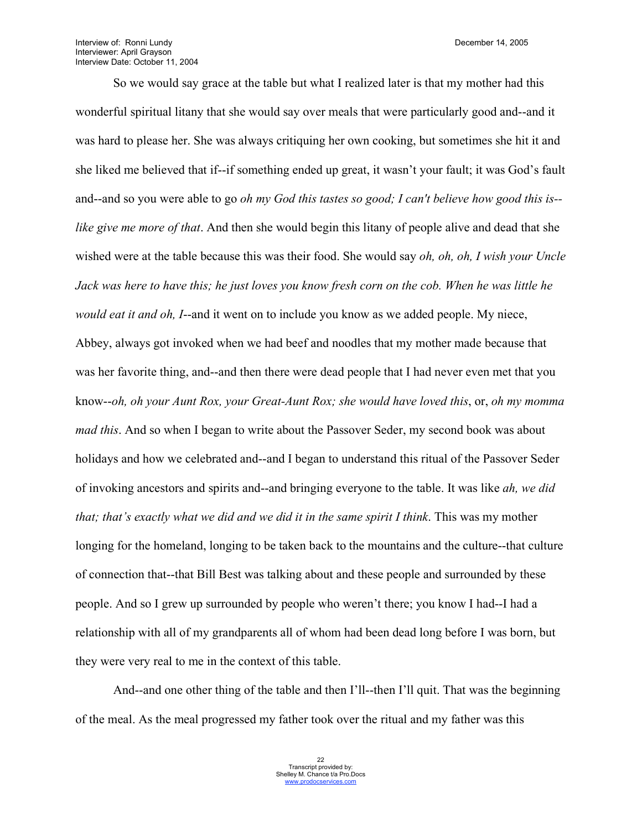Interview of: Ronni Lundy **December 14, 2005** Interviewer: April Grayson Interview Date: October 11, 2004

So we would say grace at the table but what I realized later is that my mother had this wonderful spiritual litany that she would say over meals that were particularly good and--and it was hard to please her. She was always critiquing her own cooking, but sometimes she hit it and she liked me believed that if--if something ended up great, it wasn't your fault; it was God's fault and--and so you were able to go *oh my God this tastes so good; I can't believe how good this is- like give me more of that*. And then she would begin this litany of people alive and dead that she wished were at the table because this was their food. She would say *oh, oh, oh, I wish your Uncle Jack was here to have this; he just loves you know fresh corn on the cob. When he was little he would eat it and oh, I*--and it went on to include you know as we added people. My niece, Abbey, always got invoked when we had beef and noodles that my mother made because that was her favorite thing, and--and then there were dead people that I had never even met that you know--*oh, oh your Aunt Rox, your Great-Aunt Rox; she would have loved this*, or, *oh my momma mad this*. And so when I began to write about the Passover Seder, my second book was about holidays and how we celebrated and--and I began to understand this ritual of the Passover Seder of invoking ancestors and spirits and--and bringing everyone to the table. It was like *ah, we did that; that's exactly what we did and we did it in the same spirit I think*. This was my mother longing for the homeland, longing to be taken back to the mountains and the culture--that culture of connection that--that Bill Best was talking about and these people and surrounded by these people. And so I grew up surrounded by people who weren't there; you know I had--I had a relationship with all of my grandparents all of whom had been dead long before I was born, but they were very real to me in the context of this table.

And--and one other thing of the table and then I'll--then I'll quit. That was the beginning of the meal. As the meal progressed my father took over the ritual and my father was this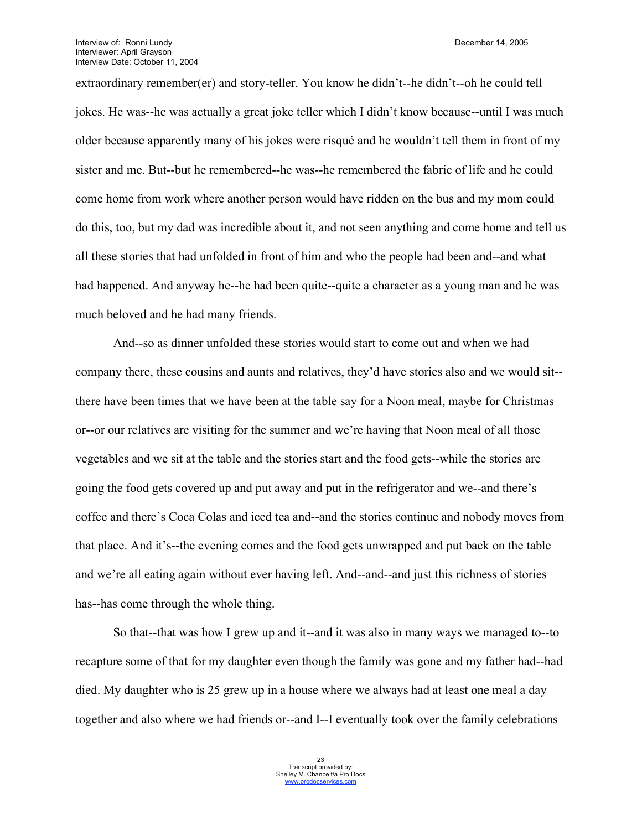extraordinary remember(er) and story-teller. You know he didn't--he didn't--oh he could tell jokes. He was--he was actually a great joke teller which I didn't know because--until I was much older because apparently many of his jokes were risqué and he wouldn't tell them in front of my sister and me. But--but he remembered--he was--he remembered the fabric of life and he could come home from work where another person would have ridden on the bus and my mom could do this, too, but my dad was incredible about it, and not seen anything and come home and tell us all these stories that had unfolded in front of him and who the people had been and--and what had happened. And anyway he--he had been quite--quite a character as a young man and he was much beloved and he had many friends.

And--so as dinner unfolded these stories would start to come out and when we had company there, these cousins and aunts and relatives, they'd have stories also and we would sit- there have been times that we have been at the table say for a Noon meal, maybe for Christmas or--or our relatives are visiting for the summer and we're having that Noon meal of all those vegetables and we sit at the table and the stories start and the food gets--while the stories are going the food gets covered up and put away and put in the refrigerator and we--and there's coffee and there's Coca Colas and iced tea and--and the stories continue and nobody moves from that place. And it's--the evening comes and the food gets unwrapped and put back on the table and we're all eating again without ever having left. And--and--and just this richness of stories has--has come through the whole thing.

So that--that was how I grew up and it--and it was also in many ways we managed to--to recapture some of that for my daughter even though the family was gone and my father had--had died. My daughter who is 25 grew up in a house where we always had at least one meal a day together and also where we had friends or--and I--I eventually took over the family celebrations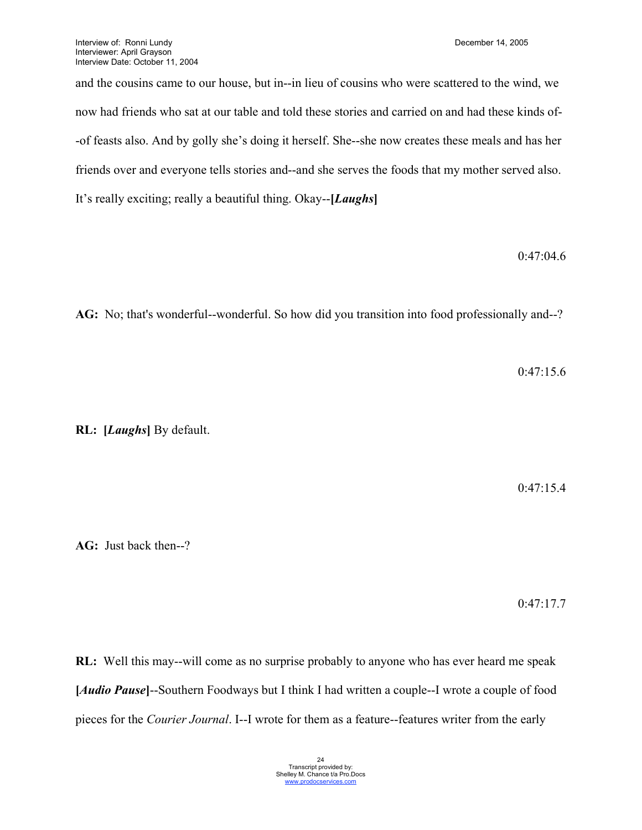and the cousins came to our house, but in--in lieu of cousins who were scattered to the wind, we now had friends who sat at our table and told these stories and carried on and had these kinds of- -of feasts also. And by golly she's doing it herself. She--she now creates these meals and has her friends over and everyone tells stories and--and she serves the foods that my mother served also. It's really exciting; really a beautiful thing. Okay--**[***Laughs***]**

### 0:47:04.6

**AG:** No; that's wonderful--wonderful. So how did you transition into food professionally and--?

0:47:15.6

**RL: [***Laughs***]** By default.

0:47:15.4

**AG:** Just back then--?

0:47:17.7

**RL:** Well this may--will come as no surprise probably to anyone who has ever heard me speak **[***Audio Pause***]**--Southern Foodways but I think I had written a couple--I wrote a couple of food pieces for the *Courier Journal*. I--I wrote for them as a feature--features writer from the early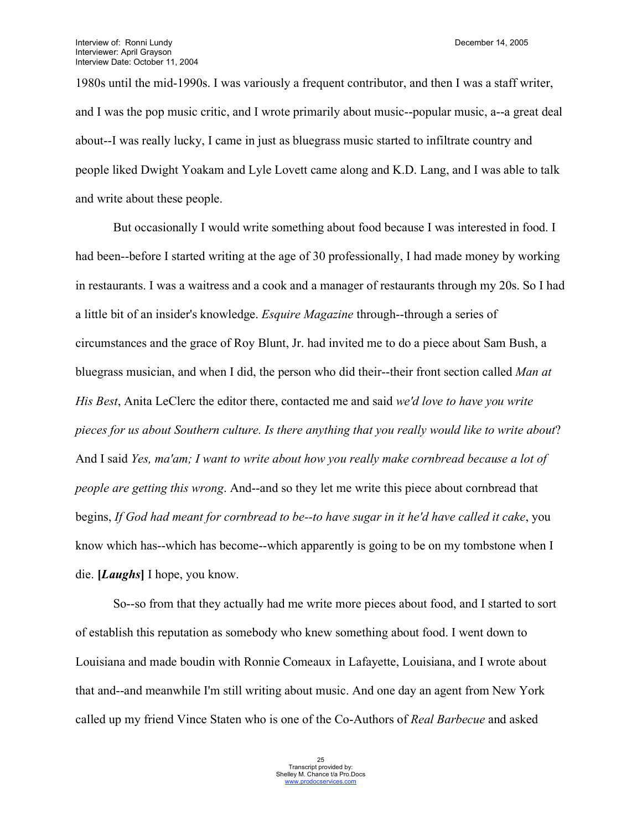1980s until the mid-1990s. I was variously a frequent contributor, and then I was a staff writer, and I was the pop music critic, and I wrote primarily about music--popular music, a--a great deal about--I was really lucky, I came in just as bluegrass music started to infiltrate country and people liked Dwight Yoakam and Lyle Lovett came along and K.D. Lang, and I was able to talk and write about these people.

But occasionally I would write something about food because I was interested in food. I had been--before I started writing at the age of 30 professionally, I had made money by working in restaurants. I was a waitress and a cook and a manager of restaurants through my 20s. So I had a little bit of an insider's knowledge. *Esquire Magazine* through--through a series of circumstances and the grace of Roy Blunt, Jr. had invited me to do a piece about Sam Bush, a bluegrass musician, and when I did, the person who did their--their front section called *Man at His Best*, Anita LeClerc the editor there, contacted me and said *we'd love to have you write pieces for us about Southern culture. Is there anything that you really would like to write about*? And I said *Yes, ma'am; I want to write about how you really make cornbread because a lot of people are getting this wrong*. And--and so they let me write this piece about cornbread that begins, If God had meant for cornbread to be--to have sugar in it he'd have called it cake, you know which has--which has become--which apparently is going to be on my tombstone when I die. **[***Laughs***]** I hope, you know.

So--so from that they actually had me write more pieces about food, and I started to sort of establish this reputation as somebody who knew something about food. I went down to Louisiana and made boudin with Ronnie Comeaux in Lafayette, Louisiana, and I wrote about that and--and meanwhile I'm still writing about music. And one day an agent from New York called up my friend Vince Staten who is one of the Co-Authors of *Real Barbecue* and asked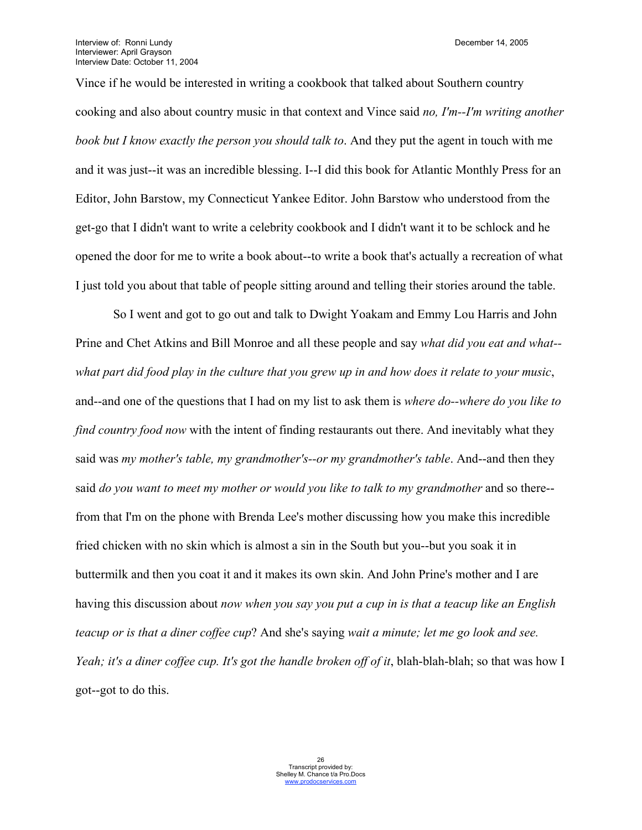Vince if he would be interested in writing a cookbook that talked about Southern country cooking and also about country music in that context and Vince said *no, I'm--I'm writing another book but I know exactly the person you should talk to*. And they put the agent in touch with me and it was just--it was an incredible blessing. I--I did this book for Atlantic Monthly Press for an Editor, John Barstow, my Connecticut Yankee Editor. John Barstow who understood from the get-go that I didn't want to write a celebrity cookbook and I didn't want it to be schlock and he opened the door for me to write a book about--to write a book that's actually a recreation of what I just told you about that table of people sitting around and telling their stories around the table.

So I went and got to go out and talk to Dwight Yoakam and Emmy Lou Harris and John Prine and Chet Atkins and Bill Monroe and all these people and say *what did you eat and what- what part did food play in the culture that you grew up in and how does it relate to your music*, and--and one of the questions that I had on my list to ask them is *where do--where do you like to find country food now* with the intent of finding restaurants out there. And inevitably what they said was *my mother's table, my grandmother's--or my grandmother's table*. And--and then they said *do you want to meet my mother or would you like to talk to my grandmother* and so there- from that I'm on the phone with Brenda Lee's mother discussing how you make this incredible fried chicken with no skin which is almost a sin in the South but you--but you soak it in buttermilk and then you coat it and it makes its own skin. And John Prine's mother and I are having this discussion about *now when you say you put a cup in is that a teacup like an English teacup or is that a diner coffee cup*? And she's saying *wait a minute; let me go look and see. Yeah; it's a diner coffee cup. It's got the handle broken off of it*, blah-blah-blah; so that was how I got--got to do this.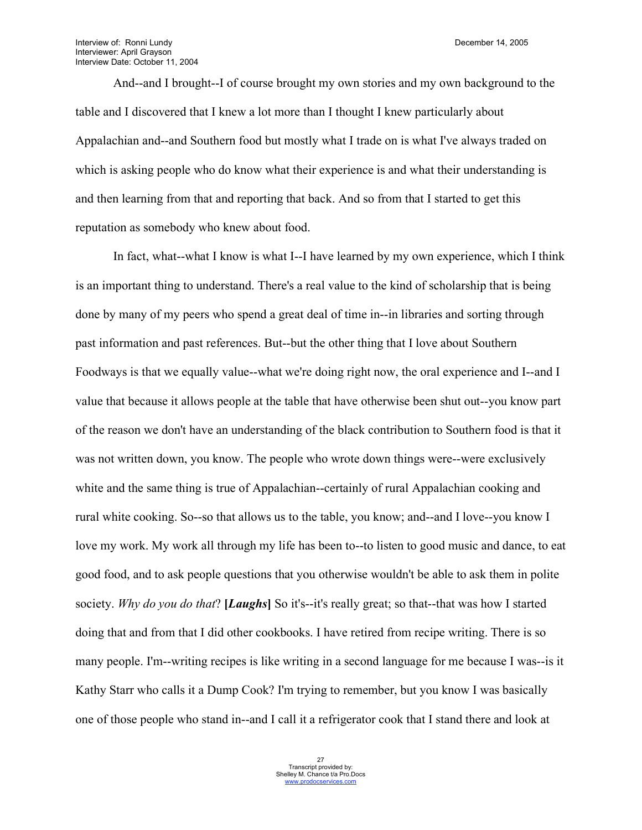And--and I brought--I of course brought my own stories and my own background to the table and I discovered that I knew a lot more than I thought I knew particularly about Appalachian and--and Southern food but mostly what I trade on is what I've always traded on which is asking people who do know what their experience is and what their understanding is and then learning from that and reporting that back. And so from that I started to get this reputation as somebody who knew about food.

In fact, what--what I know is what I--I have learned by my own experience, which I think is an important thing to understand. There's a real value to the kind of scholarship that is being done by many of my peers who spend a great deal of time in--in libraries and sorting through past information and past references. But--but the other thing that I love about Southern Foodways is that we equally value--what we're doing right now, the oral experience and I--and I value that because it allows people at the table that have otherwise been shut out--you know part of the reason we don't have an understanding of the black contribution to Southern food is that it was not written down, you know. The people who wrote down things were--were exclusively white and the same thing is true of Appalachian--certainly of rural Appalachian cooking and rural white cooking. So--so that allows us to the table, you know; and--and I love--you know I love my work. My work all through my life has been to--to listen to good music and dance, to eat good food, and to ask people questions that you otherwise wouldn't be able to ask them in polite society. *Why do you do that*? **[***Laughs***]** So it's--it's really great; so that--that was how I started doing that and from that I did other cookbooks. I have retired from recipe writing. There is so many people. I'm--writing recipes is like writing in a second language for me because I was--is it Kathy Starr who calls it a Dump Cook? I'm trying to remember, but you know I was basically one of those people who stand in--and I call it a refrigerator cook that I stand there and look at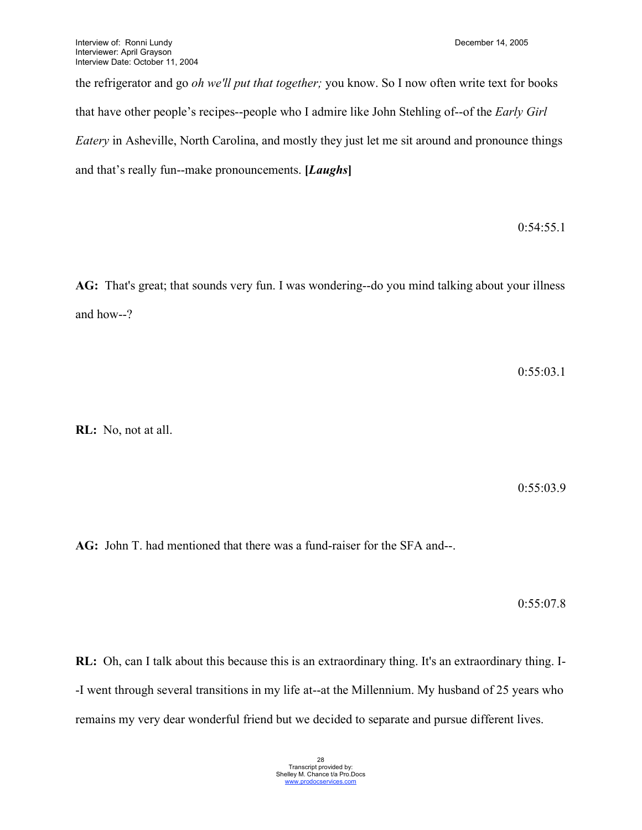the refrigerator and go *oh we'll put that together;* you know. So I now often write text for books that have other people's recipes--people who I admire like John Stehling of--of the *Early Girl Eatery* in Asheville, North Carolina, and mostly they just let me sit around and pronounce things and that's really fun--make pronouncements. **[***Laughs***]**

0:54:55.1

**AG:** That's great; that sounds very fun. I was wondering--do you mind talking about your illness and how--?

0:55:03.1

**RL:** No, not at all.

0:55:03.9

**AG:** John T. had mentioned that there was a fund-raiser for the SFA and--.

0:55:07.8

**RL:** Oh, can I talk about this because this is an extraordinary thing. It's an extraordinary thing. I- -I went through several transitions in my life at--at the Millennium. My husband of 25 years who remains my very dear wonderful friend but we decided to separate and pursue different lives.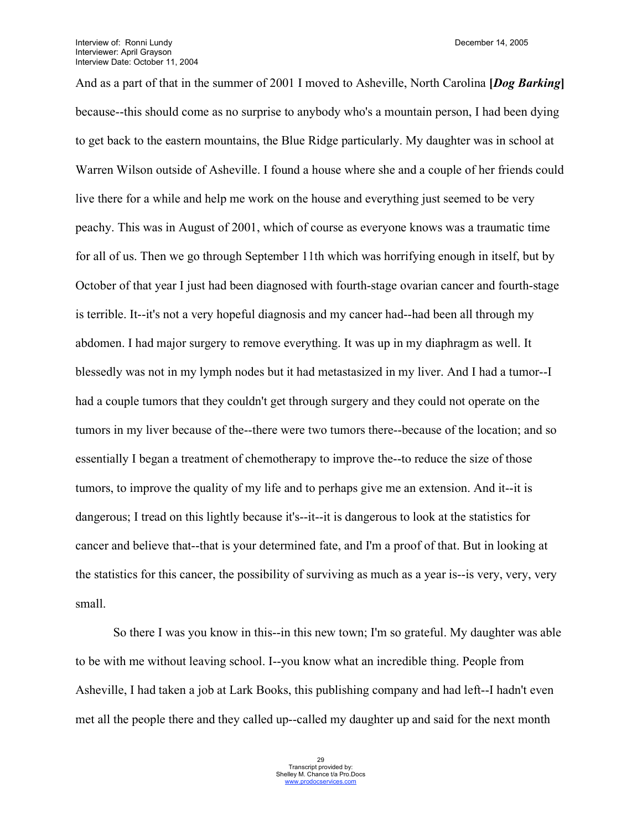And as a part of that in the summer of 2001 I moved to Asheville, North Carolina **[***Dog Barking***]** because--this should come as no surprise to anybody who's a mountain person, I had been dying to get back to the eastern mountains, the Blue Ridge particularly. My daughter was in school at Warren Wilson outside of Asheville. I found a house where she and a couple of her friends could live there for a while and help me work on the house and everything just seemed to be very peachy. This was in August of 2001, which of course as everyone knows was a traumatic time for all of us. Then we go through September 11th which was horrifying enough in itself, but by October of that year I just had been diagnosed with fourth-stage ovarian cancer and fourth-stage is terrible. It--it's not a very hopeful diagnosis and my cancer had--had been all through my abdomen. I had major surgery to remove everything. It was up in my diaphragm as well. It blessedly was not in my lymph nodes but it had metastasized in my liver. And I had a tumor--I had a couple tumors that they couldn't get through surgery and they could not operate on the tumors in my liver because of the--there were two tumors there--because of the location; and so essentially I began a treatment of chemotherapy to improve the--to reduce the size of those tumors, to improve the quality of my life and to perhaps give me an extension. And it--it is dangerous; I tread on this lightly because it's--it--it is dangerous to look at the statistics for cancer and believe that--that is your determined fate, and I'm a proof of that. But in looking at the statistics for this cancer, the possibility of surviving as much as a year is--is very, very, very small.

So there I was you know in this--in this new town; I'm so grateful. My daughter was able to be with me without leaving school. I--you know what an incredible thing. People from Asheville, I had taken a job at Lark Books, this publishing company and had left--I hadn't even met all the people there and they called up--called my daughter up and said for the next month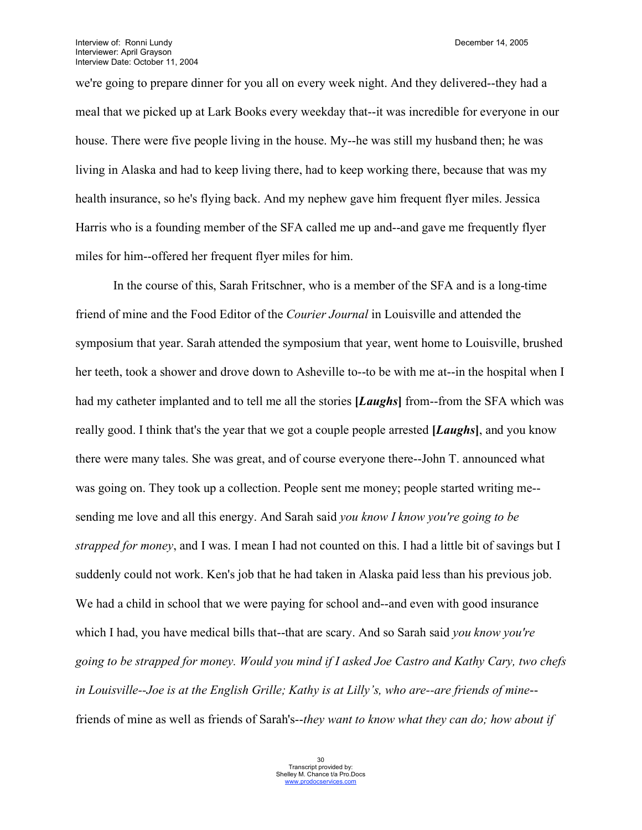we're going to prepare dinner for you all on every week night. And they delivered--they had a meal that we picked up at Lark Books every weekday that--it was incredible for everyone in our house. There were five people living in the house. My--he was still my husband then; he was living in Alaska and had to keep living there, had to keep working there, because that was my health insurance, so he's flying back. And my nephew gave him frequent flyer miles. Jessica Harris who is a founding member of the SFA called me up and--and gave me frequently flyer miles for him--offered her frequent flyer miles for him.

In the course of this, Sarah Fritschner, who is a member of the SFA and is a long-time friend of mine and the Food Editor of the *Courier Journal* in Louisville and attended the symposium that year. Sarah attended the symposium that year, went home to Louisville, brushed her teeth, took a shower and drove down to Asheville to--to be with me at--in the hospital when I had my catheter implanted and to tell me all the stories **[***Laughs***]** from--from the SFA which was really good. I think that's the year that we got a couple people arrested **[***Laughs***]**, and you know there were many tales. She was great, and of course everyone there--John T. announced what was going on. They took up a collection. People sent me money; people started writing me- sending me love and all this energy. And Sarah said *you know I know you're going to be strapped for money*, and I was. I mean I had not counted on this. I had a little bit of savings but I suddenly could not work. Ken's job that he had taken in Alaska paid less than his previous job. We had a child in school that we were paying for school and--and even with good insurance which I had, you have medical bills that--that are scary. And so Sarah said *you know you're going to be strapped for money. Would you mind if I asked Joe Castro and Kathy Cary, two chefs in Louisville--Joe is at the English Grille; Kathy is at Lilly's, who are--are friends of mine*- friends of mine as well as friends of Sarah's--*they want to know what they can do; how about if*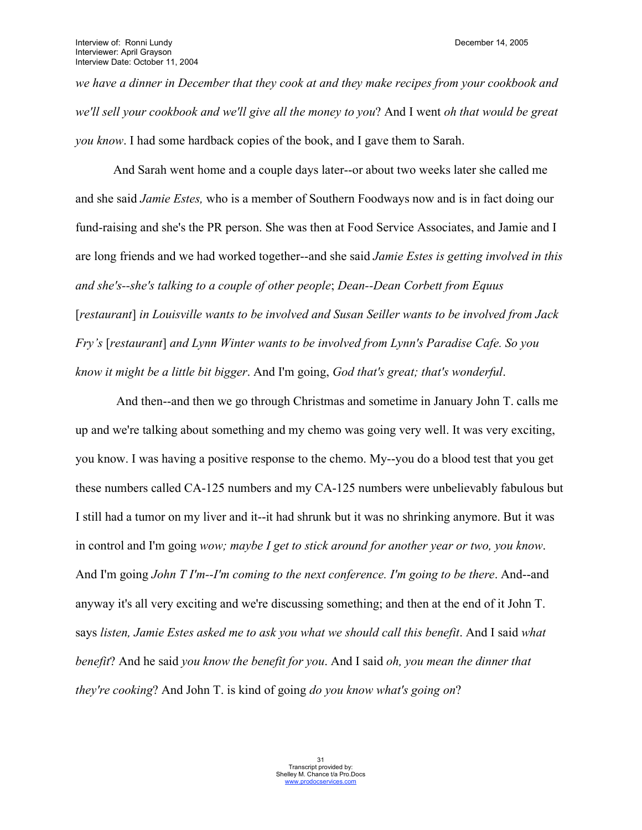*we have a dinner in December that they cook at and they make recipes from your cookbook and we'll sell your cookbook and we'll give all the money to you*? And I went *oh that would be great you know*. I had some hardback copies of the book, and I gave them to Sarah.

And Sarah went home and a couple days later--or about two weeks later she called me and she said *Jamie Estes,* who is a member of Southern Foodways now and is in fact doing our fund-raising and she's the PR person. She was then at Food Service Associates, and Jamie and I are long friends and we had worked together--and she said *Jamie Estes is getting involved in this and she's--she's talking to a couple of other people*; *Dean--Dean Corbett from Equus* [*restaurant*] *in Louisville wants to be involved and Susan Seiller wants to be involved from Jack Fry's* [*restaurant*] *and Lynn Winter wants to be involved from Lynn's Paradise Cafe. So you know it might be a little bit bigger*. And I'm going, *God that's great; that's wonderful*.

 And then--and then we go through Christmas and sometime in January John T. calls me up and we're talking about something and my chemo was going very well. It was very exciting, you know. I was having a positive response to the chemo. My--you do a blood test that you get these numbers called CA-125 numbers and my CA-125 numbers were unbelievably fabulous but I still had a tumor on my liver and it--it had shrunk but it was no shrinking anymore. But it was in control and I'm going *wow; maybe I get to stick around for another year or two, you know*. And I'm going *John T I'm--I'm coming to the next conference. I'm going to be there*. And--and anyway it's all very exciting and we're discussing something; and then at the end of it John T. says *listen, Jamie Estes asked me to ask you what we should call this benefit*. And I said *what benefit*? And he said *you know the benefit for you*. And I said *oh, you mean the dinner that they're cooking*? And John T. is kind of going *do you know what's going on*?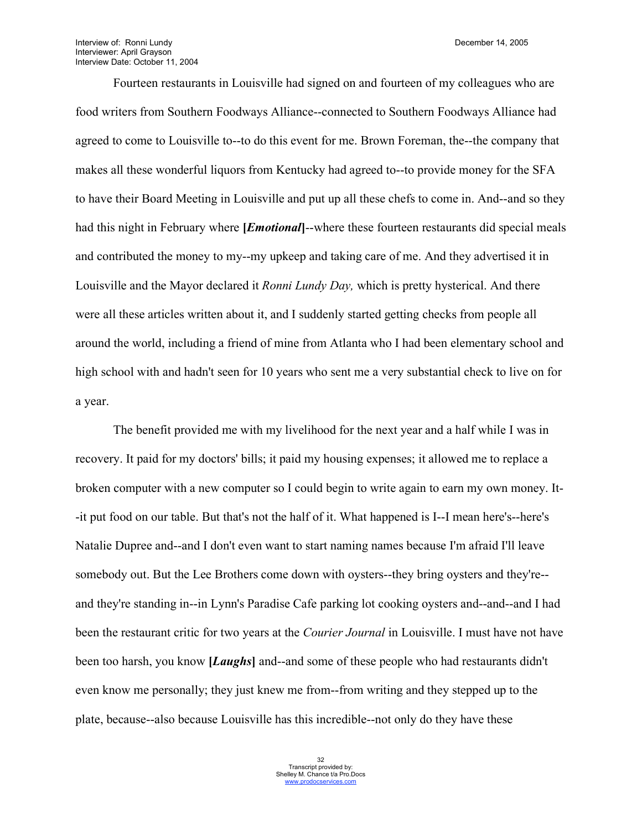Interview of: Ronni Lundy **December 14, 2005** Interviewer: April Grayson Interview Date: October 11, 2004

Fourteen restaurants in Louisville had signed on and fourteen of my colleagues who are food writers from Southern Foodways Alliance--connected to Southern Foodways Alliance had agreed to come to Louisville to--to do this event for me. Brown Foreman, the--the company that makes all these wonderful liquors from Kentucky had agreed to--to provide money for the SFA to have their Board Meeting in Louisville and put up all these chefs to come in. And--and so they had this night in February where **[***Emotional***]**--where these fourteen restaurants did special meals and contributed the money to my--my upkeep and taking care of me. And they advertised it in Louisville and the Mayor declared it *Ronni Lundy Day,* which is pretty hysterical. And there were all these articles written about it, and I suddenly started getting checks from people all around the world, including a friend of mine from Atlanta who I had been elementary school and high school with and hadn't seen for 10 years who sent me a very substantial check to live on for a year.

The benefit provided me with my livelihood for the next year and a half while I was in recovery. It paid for my doctors' bills; it paid my housing expenses; it allowed me to replace a broken computer with a new computer so I could begin to write again to earn my own money. It- -it put food on our table. But that's not the half of it. What happened is I--I mean here's--here's Natalie Dupree and--and I don't even want to start naming names because I'm afraid I'll leave somebody out. But the Lee Brothers come down with oysters--they bring oysters and they're- and they're standing in--in Lynn's Paradise Cafe parking lot cooking oysters and--and--and I had been the restaurant critic for two years at the *Courier Journal* in Louisville. I must have not have been too harsh, you know **[***Laughs***]** and--and some of these people who had restaurants didn't even know me personally; they just knew me from--from writing and they stepped up to the plate, because--also because Louisville has this incredible--not only do they have these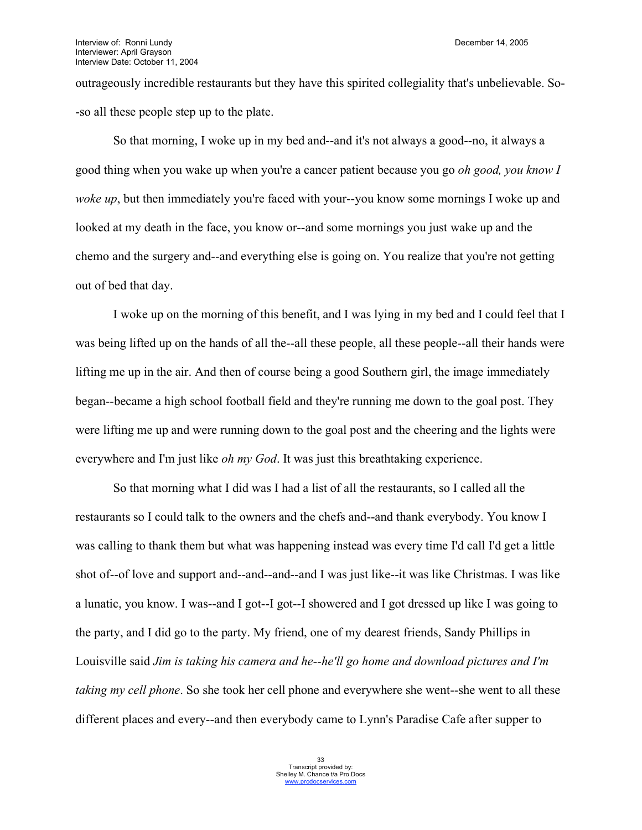outrageously incredible restaurants but they have this spirited collegiality that's unbelievable. So- -so all these people step up to the plate.

So that morning, I woke up in my bed and--and it's not always a good--no, it always a good thing when you wake up when you're a cancer patient because you go *oh good, you know I woke up*, but then immediately you're faced with your--you know some mornings I woke up and looked at my death in the face, you know or--and some mornings you just wake up and the chemo and the surgery and--and everything else is going on. You realize that you're not getting out of bed that day.

I woke up on the morning of this benefit, and I was lying in my bed and I could feel that I was being lifted up on the hands of all the--all these people, all these people--all their hands were lifting me up in the air. And then of course being a good Southern girl, the image immediately began--became a high school football field and they're running me down to the goal post. They were lifting me up and were running down to the goal post and the cheering and the lights were everywhere and I'm just like *oh my God*. It was just this breathtaking experience.

So that morning what I did was I had a list of all the restaurants, so I called all the restaurants so I could talk to the owners and the chefs and--and thank everybody. You know I was calling to thank them but what was happening instead was every time I'd call I'd get a little shot of--of love and support and--and--and--and I was just like--it was like Christmas. I was like a lunatic, you know. I was--and I got--I got--I showered and I got dressed up like I was going to the party, and I did go to the party. My friend, one of my dearest friends, Sandy Phillips in Louisville said *Jim is taking his camera and he--he'll go home and download pictures and I'm taking my cell phone*. So she took her cell phone and everywhere she went--she went to all these different places and every--and then everybody came to Lynn's Paradise Cafe after supper to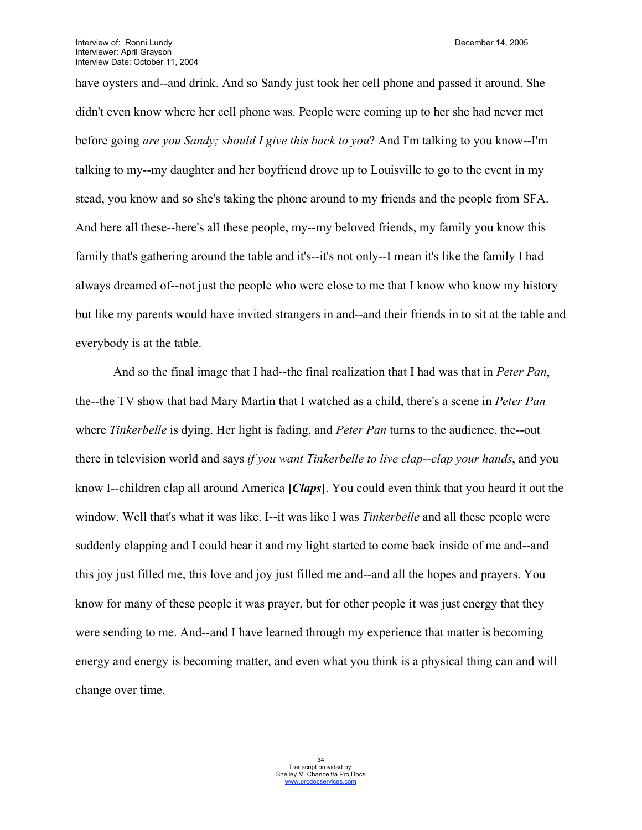have oysters and--and drink. And so Sandy just took her cell phone and passed it around. She didn't even know where her cell phone was. People were coming up to her she had never met before going *are you Sandy; should I give this back to you*? And I'm talking to you know--I'm talking to my--my daughter and her boyfriend drove up to Louisville to go to the event in my stead, you know and so she's taking the phone around to my friends and the people from SFA. And here all these--here's all these people, my--my beloved friends, my family you know this family that's gathering around the table and it's--it's not only--I mean it's like the family I had always dreamed of--not just the people who were close to me that I know who know my history but like my parents would have invited strangers in and--and their friends in to sit at the table and everybody is at the table.

And so the final image that I had--the final realization that I had was that in *Peter Pan*, the--the TV show that had Mary Martin that I watched as a child, there's a scene in *Peter Pan* where *Tinkerbelle* is dying. Her light is fading, and *Peter Pan* turns to the audience, the--out there in television world and says *if you want Tinkerbelle to live clap--clap your hands*, and you know I--children clap all around America **[***Claps***]**. You could even think that you heard it out the window. Well that's what it was like. I--it was like I was *Tinkerbelle* and all these people were suddenly clapping and I could hear it and my light started to come back inside of me and--and this joy just filled me, this love and joy just filled me and--and all the hopes and prayers. You know for many of these people it was prayer, but for other people it was just energy that they were sending to me. And--and I have learned through my experience that matter is becoming energy and energy is becoming matter, and even what you think is a physical thing can and will change over time.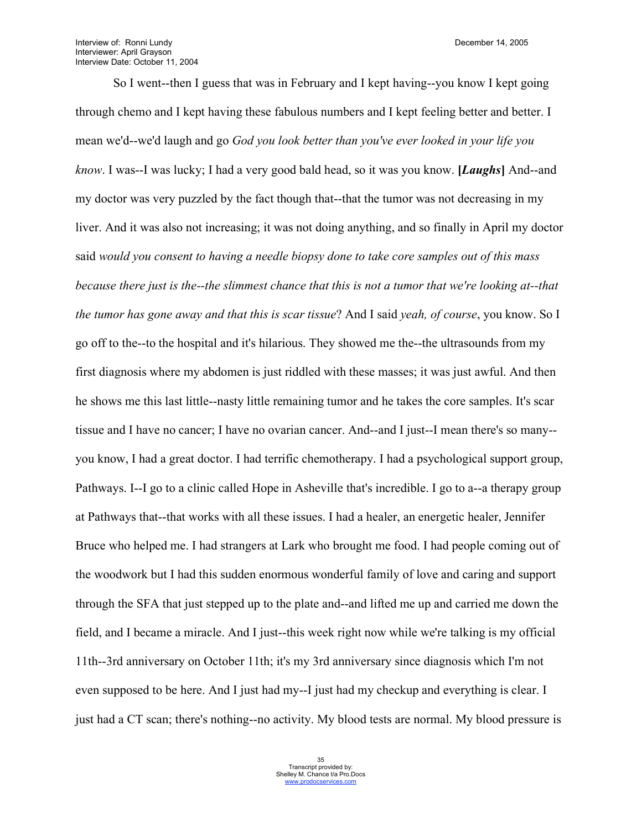Interview of: Ronni Lundy **December 14, 2005** Interviewer: April Grayson Interview Date: October 11, 2004

So I went--then I guess that was in February and I kept having--you know I kept going through chemo and I kept having these fabulous numbers and I kept feeling better and better. I mean we'd--we'd laugh and go *God you look better than you've ever looked in your life you know*. I was--I was lucky; I had a very good bald head, so it was you know. **[***Laughs***]** And--and my doctor was very puzzled by the fact though that--that the tumor was not decreasing in my liver. And it was also not increasing; it was not doing anything, and so finally in April my doctor said *would you consent to having a needle biopsy done to take core samples out of this mass because there just is the--the slimmest chance that this is not a tumor that we're looking at--that the tumor has gone away and that this is scar tissue*? And I said *yeah, of course*, you know. So I go off to the--to the hospital and it's hilarious. They showed me the--the ultrasounds from my first diagnosis where my abdomen is just riddled with these masses; it was just awful. And then he shows me this last little--nasty little remaining tumor and he takes the core samples. It's scar tissue and I have no cancer; I have no ovarian cancer. And--and I just--I mean there's so many- you know, I had a great doctor. I had terrific chemotherapy. I had a psychological support group, Pathways. I--I go to a clinic called Hope in Asheville that's incredible. I go to a--a therapy group at Pathways that--that works with all these issues. I had a healer, an energetic healer, Jennifer Bruce who helped me. I had strangers at Lark who brought me food. I had people coming out of the woodwork but I had this sudden enormous wonderful family of love and caring and support through the SFA that just stepped up to the plate and--and lifted me up and carried me down the field, and I became a miracle. And I just--this week right now while we're talking is my official 11th--3rd anniversary on October 11th; it's my 3rd anniversary since diagnosis which I'm not even supposed to be here. And I just had my--I just had my checkup and everything is clear. I just had a CT scan; there's nothing--no activity. My blood tests are normal. My blood pressure is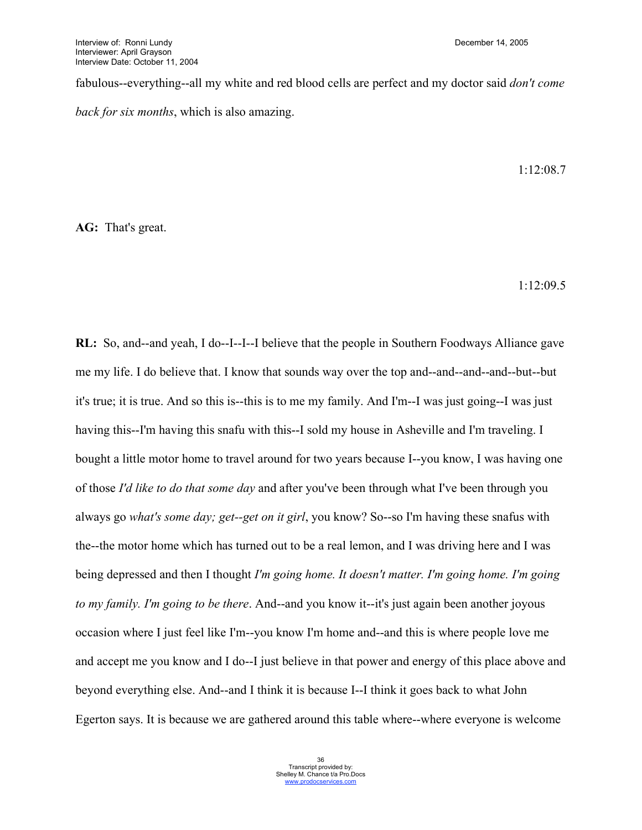fabulous--everything--all my white and red blood cells are perfect and my doctor said *don't come back for six months*, which is also amazing.

1:12:08.7

**AG:** That's great.

1:12:09.5

**RL:** So, and--and yeah, I do--I--I--I believe that the people in Southern Foodways Alliance gave me my life. I do believe that. I know that sounds way over the top and--and--and--and--but--but it's true; it is true. And so this is--this is to me my family. And I'm--I was just going--I was just having this--I'm having this snafu with this--I sold my house in Asheville and I'm traveling. I bought a little motor home to travel around for two years because I--you know, I was having one of those *I'd like to do that some day* and after you've been through what I've been through you always go *what's some day; get--get on it girl*, you know? So--so I'm having these snafus with the--the motor home which has turned out to be a real lemon, and I was driving here and I was being depressed and then I thought *I'm going home. It doesn't matter. I'm going home. I'm going to my family. I'm going to be there*. And--and you know it--it's just again been another joyous occasion where I just feel like I'm--you know I'm home and--and this is where people love me and accept me you know and I do--I just believe in that power and energy of this place above and beyond everything else. And--and I think it is because I--I think it goes back to what John Egerton says. It is because we are gathered around this table where--where everyone is welcome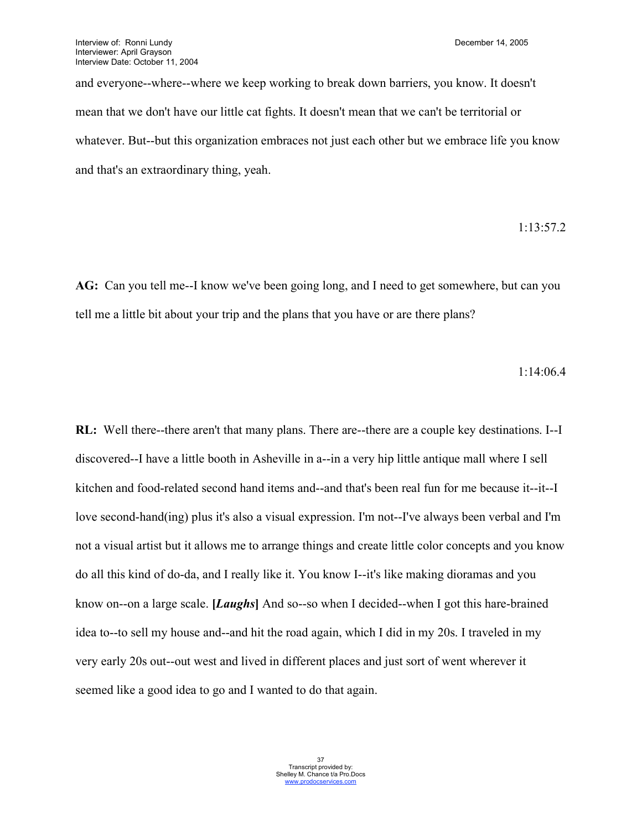and everyone--where--where we keep working to break down barriers, you know. It doesn't mean that we don't have our little cat fights. It doesn't mean that we can't be territorial or whatever. But--but this organization embraces not just each other but we embrace life you know and that's an extraordinary thing, yeah.

## 1:13:57.2

**AG:** Can you tell me--I know we've been going long, and I need to get somewhere, but can you tell me a little bit about your trip and the plans that you have or are there plans?

1:14:06.4

**RL:** Well there--there aren't that many plans. There are--there are a couple key destinations. I--I discovered--I have a little booth in Asheville in a--in a very hip little antique mall where I sell kitchen and food-related second hand items and--and that's been real fun for me because it--it--I love second-hand(ing) plus it's also a visual expression. I'm not--I've always been verbal and I'm not a visual artist but it allows me to arrange things and create little color concepts and you know do all this kind of do-da, and I really like it. You know I--it's like making dioramas and you know on--on a large scale. **[***Laughs***]** And so--so when I decided--when I got this hare-brained idea to--to sell my house and--and hit the road again, which I did in my 20s. I traveled in my very early 20s out--out west and lived in different places and just sort of went wherever it seemed like a good idea to go and I wanted to do that again.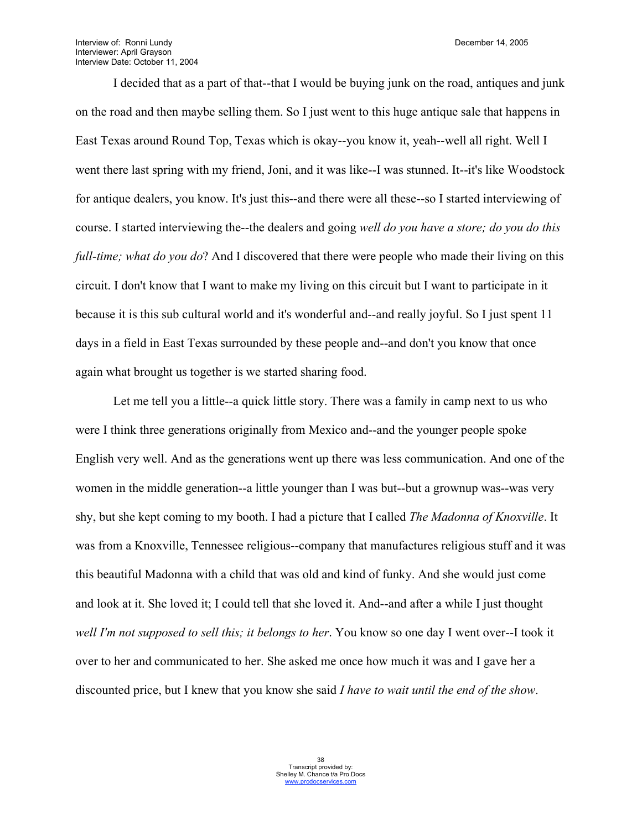Interview of: Ronni Lundy **December 14, 2005** Interviewer: April Grayson Interview Date: October 11, 2004

I decided that as a part of that--that I would be buying junk on the road, antiques and junk on the road and then maybe selling them. So I just went to this huge antique sale that happens in East Texas around Round Top, Texas which is okay--you know it, yeah--well all right. Well I went there last spring with my friend, Joni, and it was like--I was stunned. It--it's like Woodstock for antique dealers, you know. It's just this--and there were all these--so I started interviewing of course. I started interviewing the--the dealers and going *well do you have a store; do you do this full-time; what do you do*? And I discovered that there were people who made their living on this circuit. I don't know that I want to make my living on this circuit but I want to participate in it because it is this sub cultural world and it's wonderful and--and really joyful. So I just spent 11 days in a field in East Texas surrounded by these people and--and don't you know that once again what brought us together is we started sharing food.

Let me tell you a little--a quick little story. There was a family in camp next to us who were I think three generations originally from Mexico and--and the younger people spoke English very well. And as the generations went up there was less communication. And one of the women in the middle generation--a little younger than I was but--but a grownup was--was very shy, but she kept coming to my booth. I had a picture that I called *The Madonna of Knoxville*. It was from a Knoxville, Tennessee religious--company that manufactures religious stuff and it was this beautiful Madonna with a child that was old and kind of funky. And she would just come and look at it. She loved it; I could tell that she loved it. And--and after a while I just thought *well I'm not supposed to sell this; it belongs to her*. You know so one day I went over--I took it over to her and communicated to her. She asked me once how much it was and I gave her a discounted price, but I knew that you know she said *I have to wait until the end of the show*.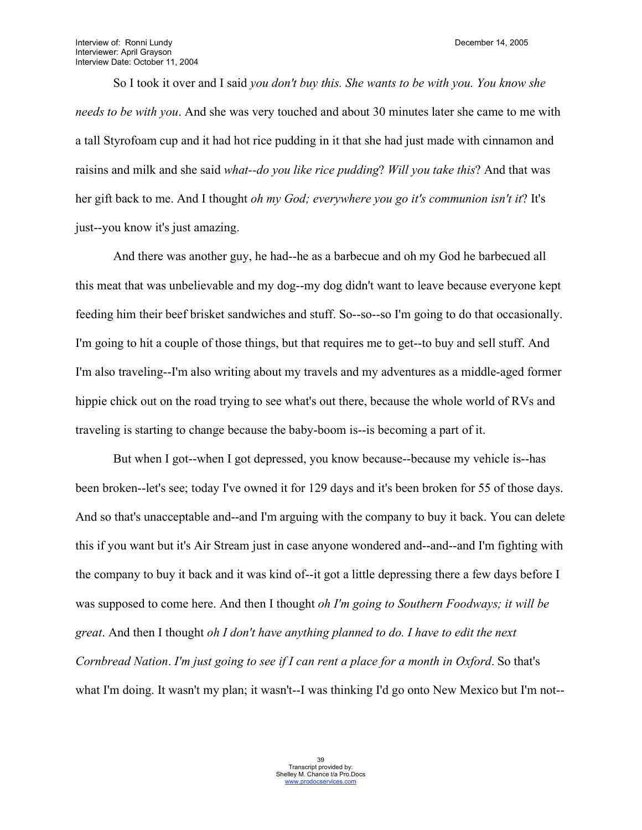So I took it over and I said *you don't buy this. She wants to be with you. You know she needs to be with you*. And she was very touched and about 30 minutes later she came to me with a tall Styrofoam cup and it had hot rice pudding in it that she had just made with cinnamon and raisins and milk and she said *what--do you like rice pudding*? *Will you take this*? And that was her gift back to me. And I thought *oh my God; everywhere you go it's communion isn't it*? It's just--you know it's just amazing.

And there was another guy, he had--he as a barbecue and oh my God he barbecued all this meat that was unbelievable and my dog--my dog didn't want to leave because everyone kept feeding him their beef brisket sandwiches and stuff. So--so--so I'm going to do that occasionally. I'm going to hit a couple of those things, but that requires me to get--to buy and sell stuff. And I'm also traveling--I'm also writing about my travels and my adventures as a middle-aged former hippie chick out on the road trying to see what's out there, because the whole world of RVs and traveling is starting to change because the baby-boom is--is becoming a part of it.

But when I got--when I got depressed, you know because--because my vehicle is--has been broken--let's see; today I've owned it for 129 days and it's been broken for 55 of those days. And so that's unacceptable and--and I'm arguing with the company to buy it back. You can delete this if you want but it's Air Stream just in case anyone wondered and--and--and I'm fighting with the company to buy it back and it was kind of--it got a little depressing there a few days before I was supposed to come here. And then I thought *oh I'm going to Southern Foodways; it will be great*. And then I thought *oh I don't have anything planned to do. I have to edit the next Cornbread Nation*. *I'm just going to see if I can rent a place for a month in Oxford*. So that's what I'm doing. It wasn't my plan; it wasn't--I was thinking I'd go onto New Mexico but I'm not--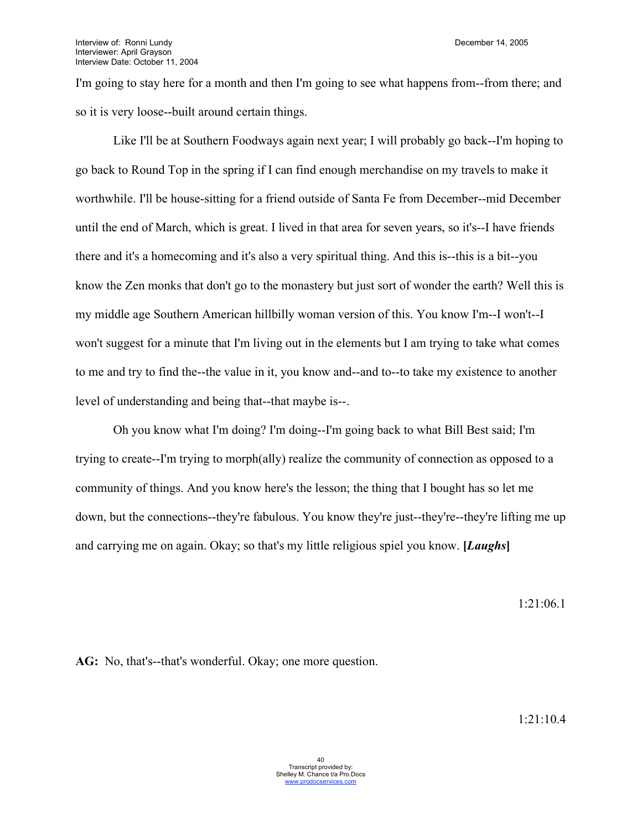I'm going to stay here for a month and then I'm going to see what happens from--from there; and so it is very loose--built around certain things.

Like I'll be at Southern Foodways again next year; I will probably go back--I'm hoping to go back to Round Top in the spring if I can find enough merchandise on my travels to make it worthwhile. I'll be house-sitting for a friend outside of Santa Fe from December--mid December until the end of March, which is great. I lived in that area for seven years, so it's--I have friends there and it's a homecoming and it's also a very spiritual thing. And this is--this is a bit--you know the Zen monks that don't go to the monastery but just sort of wonder the earth? Well this is my middle age Southern American hillbilly woman version of this. You know I'm--I won't--I won't suggest for a minute that I'm living out in the elements but I am trying to take what comes to me and try to find the--the value in it, you know and--and to--to take my existence to another level of understanding and being that--that maybe is--.

Oh you know what I'm doing? I'm doing--I'm going back to what Bill Best said; I'm trying to create--I'm trying to morph(ally) realize the community of connection as opposed to a community of things. And you know here's the lesson; the thing that I bought has so let me down, but the connections--they're fabulous. You know they're just--they're--they're lifting me up and carrying me on again. Okay; so that's my little religious spiel you know. **[***Laughs***]**

1:21:06.1

**AG:** No, that's--that's wonderful. Okay; one more question.

1:21:10.4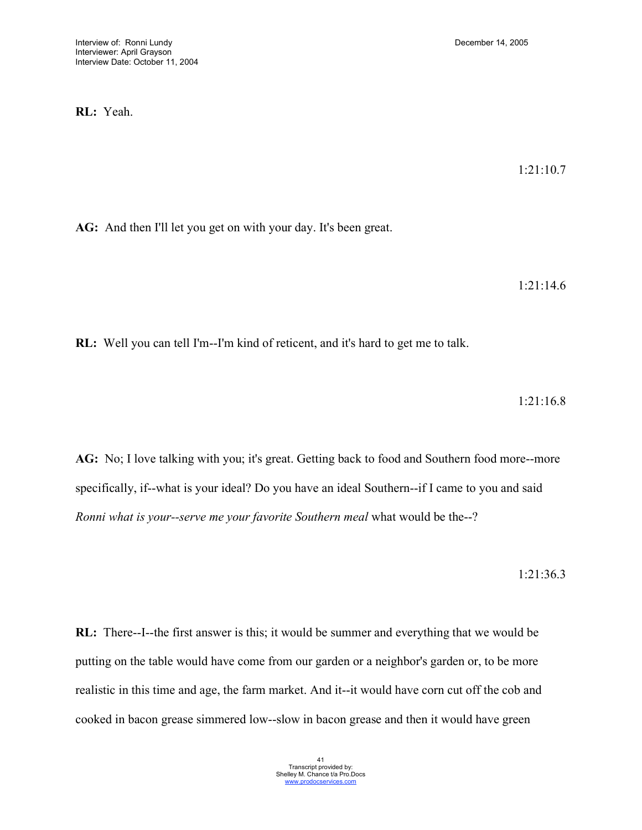**RL:** Yeah.

1:21:10.7

**AG:** And then I'll let you get on with your day. It's been great.

1:21:14.6

**RL:** Well you can tell I'm--I'm kind of reticent, and it's hard to get me to talk.

1:21:16.8

**AG:** No; I love talking with you; it's great. Getting back to food and Southern food more--more specifically, if--what is your ideal? Do you have an ideal Southern--if I came to you and said *Ronni what is your--serve me your favorite Southern meal* what would be the--?

1:21:36.3

**RL:** There--I--the first answer is this; it would be summer and everything that we would be putting on the table would have come from our garden or a neighbor's garden or, to be more realistic in this time and age, the farm market. And it--it would have corn cut off the cob and cooked in bacon grease simmered low--slow in bacon grease and then it would have green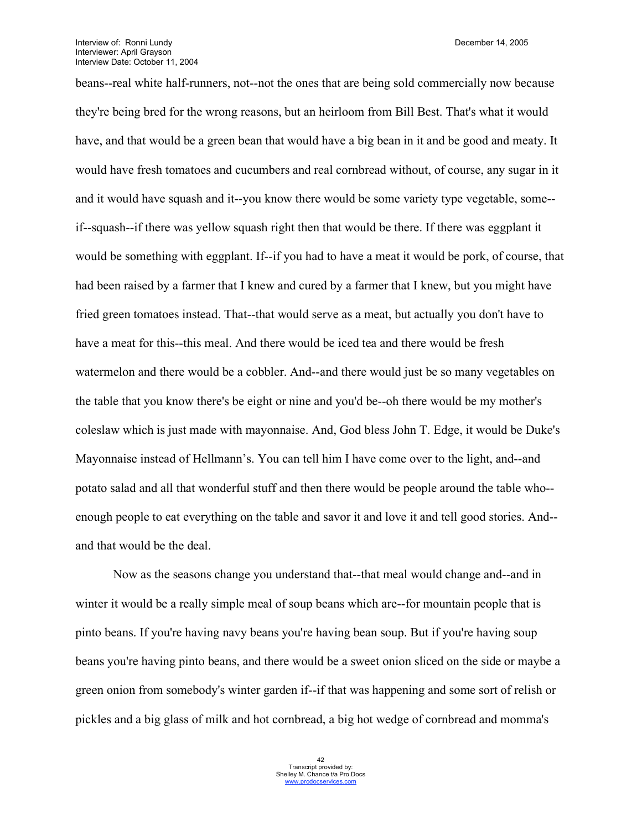beans--real white half-runners, not--not the ones that are being sold commercially now because they're being bred for the wrong reasons, but an heirloom from Bill Best. That's what it would have, and that would be a green bean that would have a big bean in it and be good and meaty. It would have fresh tomatoes and cucumbers and real cornbread without, of course, any sugar in it and it would have squash and it--you know there would be some variety type vegetable, some- if--squash--if there was yellow squash right then that would be there. If there was eggplant it would be something with eggplant. If--if you had to have a meat it would be pork, of course, that had been raised by a farmer that I knew and cured by a farmer that I knew, but you might have fried green tomatoes instead. That--that would serve as a meat, but actually you don't have to have a meat for this--this meal. And there would be iced tea and there would be fresh watermelon and there would be a cobbler. And--and there would just be so many vegetables on the table that you know there's be eight or nine and you'd be--oh there would be my mother's coleslaw which is just made with mayonnaise. And, God bless John T. Edge, it would be Duke's Mayonnaise instead of Hellmann's. You can tell him I have come over to the light, and--and potato salad and all that wonderful stuff and then there would be people around the table who- enough people to eat everything on the table and savor it and love it and tell good stories. And- and that would be the deal.

Now as the seasons change you understand that--that meal would change and--and in winter it would be a really simple meal of soup beans which are--for mountain people that is pinto beans. If you're having navy beans you're having bean soup. But if you're having soup beans you're having pinto beans, and there would be a sweet onion sliced on the side or maybe a green onion from somebody's winter garden if--if that was happening and some sort of relish or pickles and a big glass of milk and hot cornbread, a big hot wedge of cornbread and momma's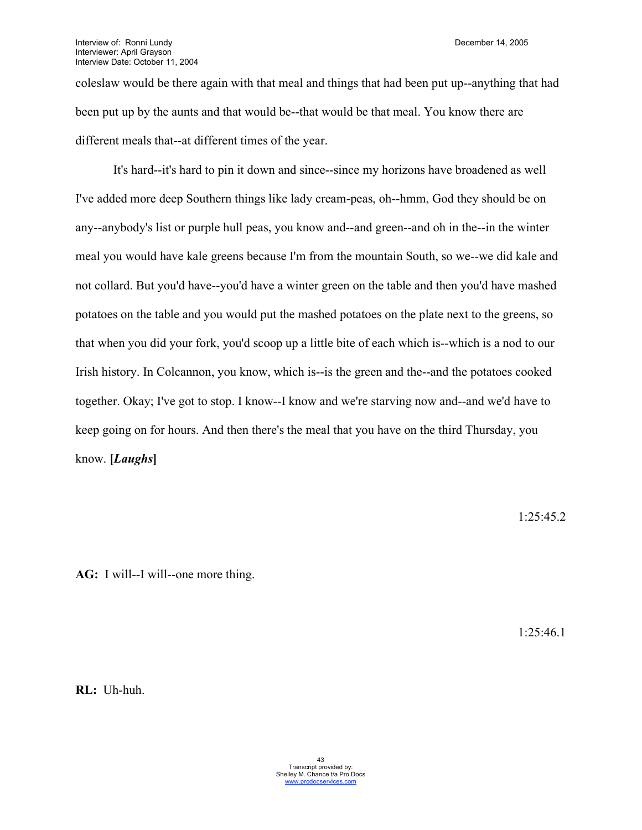coleslaw would be there again with that meal and things that had been put up--anything that had been put up by the aunts and that would be--that would be that meal. You know there are different meals that--at different times of the year.

It's hard--it's hard to pin it down and since--since my horizons have broadened as well I've added more deep Southern things like lady cream-peas, oh--hmm, God they should be on any--anybody's list or purple hull peas, you know and--and green--and oh in the--in the winter meal you would have kale greens because I'm from the mountain South, so we--we did kale and not collard. But you'd have--you'd have a winter green on the table and then you'd have mashed potatoes on the table and you would put the mashed potatoes on the plate next to the greens, so that when you did your fork, you'd scoop up a little bite of each which is--which is a nod to our Irish history. In Colcannon, you know, which is--is the green and the--and the potatoes cooked together. Okay; I've got to stop. I know--I know and we're starving now and--and we'd have to keep going on for hours. And then there's the meal that you have on the third Thursday, you know. **[***Laughs***]**

1:25:45.2

**AG:** I will--I will--one more thing.

1:25:46.1

**RL:** Uh-huh.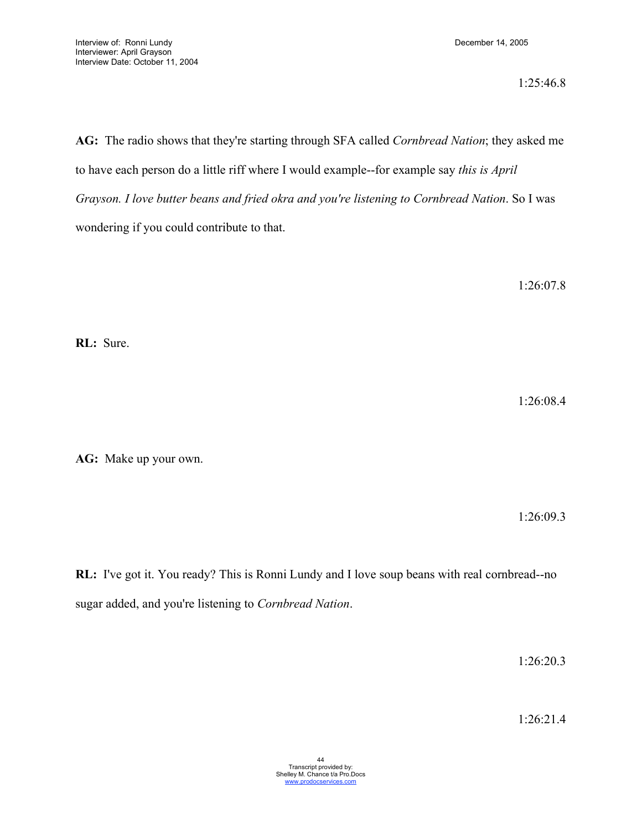1:25:46.8

**AG:** The radio shows that they're starting through SFA called *Cornbread Nation*; they asked me to have each person do a little riff where I would example--for example say *this is April Grayson. I love butter beans and fried okra and you're listening to Cornbread Nation*. So I was wondering if you could contribute to that.

1:26:07.8

**RL:** Sure.

1:26:08.4

**AG:** Make up your own.

1:26:09.3

**RL:** I've got it. You ready? This is Ronni Lundy and I love soup beans with real cornbread--no sugar added, and you're listening to *Cornbread Nation*.

1:26:20.3

1:26:21.4